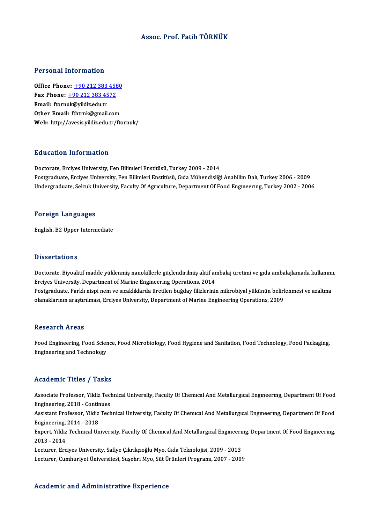## Assoc. Prof. Fatih TÖRNÜK

## Personal Information

**Personal Information<br>Office Phone: +90 212 383 4580<br>Fax Phone: +90 212 282 4572** 1 0100111 11101 1111011<br>
0ffice Phone: <u>+90 212 383 458</u><br>
Fax Phone: <u>+90 212 383 4572</u><br>
Email: framule@vildig.edu.tr Office Phone: <u>+90 212 383</u><br>Fax Phone: <u>+90 212 383 45</u><br>Email: ftorn[uk@yildiz.edu.tr](tel:+90 212 383 4572)<br>Other Email: ftbtrnk@gmail Fax Phone:  $\pm 902123834572$ <br>Email: ftornuk@yildiz.edu.tr<br>Other Email: fthtrnk@gmail.com Web: http://avesis.yildiz.edu.tr/ftornuk/

## Education Information

Doctorate, Erciyes University, Fen Bilimleri Enstitüsü, Turkey 2009 - 2014 Postgraduate, Erciyes University, Fen Bilimleri Enstitüsü, Gıda Mühendisliği Anabilim Dalı, Turkey 2006 - 2009 Undergraduate, Selcuk University, Faculty Of Agrıculture, Department Of Food Engineering, Turkey 2002 - 2006

#### Foreign Languages

English,B2Upper Intermediate

## **Dissertations**

Dissertations<br>Doctorate, Biyoaktif madde yüklenmiş nanokillerle güçlendirilmiş aktif ambalaj üretimi ve gıda ambalajlamada kullanımı,<br>Frsives University, Denartment of Marine Engineering Operations, 2014 Erciyes University, Department of Marine Engineering Operations, 2014 Doctorate, Biyoaktif madde yüklenmiş nanokillerle güçlendirilmiş aktif ambalaj üretimi ve gıda ambalajlamada kullanım<br>Erciyes University, Department of Marine Engineering Operations, 2014<br>Postgraduate, Farklı nispi nem ve Postgraduate, Farklı nispi nem ve sıcaklıklarda üretilen buğday filizlerinin mikrobiyal yükünün belirlenmesi ve azaltma<br>olanaklarının araştırılması, Erciyes University, Department of Marine Engineering Operations, 2009

#### **Research Areas**

Research Areas<br>Food Engineering, Food Science, Food Microbiology, Food Hygiene and Sanitation, Food Technology, Food Packaging,<br>Engineering and Technology Rebeut en 111 eus<br>Food Engineering, Food Scier<br>Engineering and Technology Engineering and Technology<br>Academic Titles / Tasks

Academic Titles / Tasks<br>Associate Professor, Yildiz Technical University, Faculty Of Chemıcal And Metallurgıcal Engıneerıng, Department Of Food<br>Engineering, 2018, Continues Engineering, 2018 - Continues<br>Engineering, 2018 - Continues<br>Assistant Professor, Vildiz Tech Associate Professor, Yildiz Technical University, Faculty Of Chemıcal And Metallurgıcal Engmeering, Department Of Food<br>Engineering, 2018 - Continues<br>Assistant Professor, Yildiz Technical University, Faculty Of Chemical And Engineering, 2018 - Contin<br>Assistant Professor, Yildiz<br>Engineering, 2014 - 2018<br>Evnort, Vildiz Technical Un Assistant Professor, Yildiz Technical University, Faculty Of Chemıcal And Metallurgıcal Engıneering, Department Of Food<br>Engineering, 2014 - 2018<br>Expert, Yildiz Technical University, Faculty Of Chemical And Metallurgical En Engineering,<br>Expert, Yildiz<br>2013 - 2014<br>Legturer, Ere Expert, Yildiz Technical University, Faculty Of Chemical And Metallurgical Engineerii<br>2013 - 2014<br>Lecturer, Erciyes University, Safiye Çıkrıkçıoğlu Myo, Gıda Teknolojisi, 2009 - 2013<br>Lecturer, Cumburiyet Üniversitesi, Suse 2013 - 2014<br>Lecturer, Erciyes University, Safiye Çıkrıkçıoğlu Myo, Gıda Teknolojisi, 2009 - 2013<br>Lecturer, Cumhuriyet Üniversitesi, Suşehri Myo, Süt Ürünleri Programı, 2007 - 2009

## Academic and Administrative Experience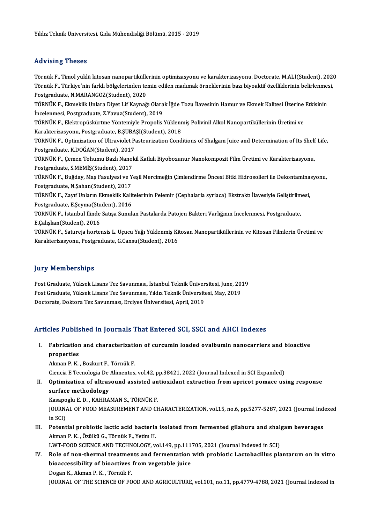## Advising Theses

Advising Theses<br>Törnük F., Timol yüklü kitosan nanopartiküllerinin optimizasyonu ve karakterizasyonu, Doctorate, M.ALİ(Student), 2020<br>Törnük E., Türkiyo'nin farklı bölgelerinden temin edilen medunak örneklerinin bazı biyoe Törnük F., Timol yüklü kitosan nanopartiküllerinin optimizasyonu ve karakterizasyonu, Doctorate, M.ALİ(Student), 202<br>Törnük F., Türkiye'nin farklı bölgelerinden temin edilen madımak örneklerinin bazı biyoaktif özelliklerin Törnük F., Timol yüklü kitosan nanopartikülle<br>Törnük F., Türkiye'nin farklı bölgelerinden te<br>Postgraduate, N.MARANGOZ(Student), 2020<br>TÖRNÜK E., Flymoklik Unlara Divet Lif Kaynağ Törnük F., Türkiye'nin farklı bölgelerinden temin edilen madımak örneklerinin bazı biyoaktif özelliklerinin belirlenmesi,<br>Postgraduate, N.MARANGOZ(Student), 2020<br>TÖRNÜK F., Ekmeklik Unlara Diyet Lif Kaynağı Olarak İğde Toz Postgraduate, N.MARANGOZ(Student), 2020<br>TÖRNÜK F., Ekmeklik Unlara Diyet Lif Kaynağı Olara<br>İncelenmesi, Postgraduate, Z.Yavuz(Student), 2019<br>TÖRNÜK E. Elektronüskürtme Yöntemiyle Prenelis TÖRNÜK F., Ekmeklik Unlara Diyet Lif Kaynağı Olarak İğde Tozu İlavesinin Hamur ve Ekmek Kalitesi Üzerine<br>İncelenmesi, Postgraduate, Z.Yavuz(Student), 2019<br>TÖRNÜK F., Elektropüskürtme Yöntemiyle Propolis Yüklenmiş Polivinil İncelenmesi, Postgraduate, Z.Yavuz(Student), 2019<br>TÖRNÜK F., Elektropüskürtme Yöntemiyle Propolis Yüklenr<br>Karakterizasyonu, Postgraduate, B.ŞUBAŞI(Student), 2018<br>TÖRNÜK E. Optimization of Ultravielet Basteurization Cond TÖRNÜK F., Elektropüskürtme Yöntemiyle Propolis Yüklenmiş Polivinil Alkol Nanopartiküllerinin Üretimi ve<br>Karakterizasyonu, Postgraduate, B.ŞUBAŞI(Student), 2018<br>TÖRNÜK F., Optimization of Ultraviolet Pasteurization Conditi Karakterizasyonu, Postgraduate, B.ŞUBA<br>TÖRNÜK F., Optimization of Ultraviolet P.<br>Postgraduate, K.DOĞAN(Student), 2017<br>TÖRNÜK E. Cemen Tehumu Berli Nanel: TÖRNÜK F., Çemen Tohumu Bazlı Nanokil Katkılı Biyobozunur Nanokompozit Film Üretimi ve Karakterizasyonu,<br>Postgraduate, S.MEMİŞ(Student), 2017 Postgraduate, K.DOĞAN(Student), 2017 TÖRNÜK F., Çemen Tohumu Bazlı Nanokil Katkılı Biyobozunur Nanokompozit Film Üretimi ve Karakterizasyonu,<br>Postgraduate, S.MEMİŞ(Student), 2017<br>TÖRNÜK F., Buğday, Maş Fasulyesi ve Yeşil Mercimeğin Çimlendirme Öncesi Bitki Hi Postgraduate, S.MEMİŞ(Student), 2017<br>TÖRNÜK F., Buğday, Maş Fasulyesi ve Y<br>Postgraduate, N.Şahan(Student), 2017<br>TÖRNÜK F. Zayıf Unlanın Flimolili, Kali TÖRNÜK F., Buğday, Maş Fasulyesi ve Yeşil Mercimeğin Çimlendirme Öncesi Bitki Hidrosolleri ile Dekontamina:<br>Postgraduate, N.Şahan(Student), 2017<br>TÖRNÜK F., Zayıf Unların Ekmeklik Kalitelerinin Pelemir (Cephalaria syriaca) Postgraduate, N.Şahan(Student), 2017<br>TÖRNÜK F., Zayıf Unların Ekmeklik Kalitelerinin Pelemir (Cephalaria syriaca) Ekstraktı İlavesiyle Geliştirilmesi,<br>Postgraduate, E.Şeyma(Student), 2016 TÖRNÜK F., Zayıf Unların Ekmeklik Kalitelerinin Pelemir (Cephalaria syriaca) Ekstraktı İlavesiyle Geliştirilm<br>Postgraduate, E.Şeyma(Student), 2016<br>TÖRNÜK F., İstanbul İlinde Satışa Sunulan Pastalarda Patojen Bakteri Varlığ Postgraduate, E.Şeyma(Stu<br>TÖRNÜK F., İstanbul İlinde<br>E.Çalışkan(Student), 2016<br>TÖRNÜK E., Satureja bortel E.Çalışkan(Student), 2016<br>TÖRNÜK F., Satureja hortensis L. Uçucu Yağı Yüklenmiş Kitosan Nanopartiküllerinin ve Kitosan Filmlerin Üretimi ve Karakterizasyonu,Postgraduate,G.Cansu(Student),2016

## **Jury Memberships**

**Jury Memberships<br>Post Graduate, Yüksek Lisans Tez Savunması, İstanbul Teknik Üniversitesi, June, 2019<br>Pest Craduate, Yüksek Lisans Tez Savunması, Yıldız Telmik Üniversitesi, May, 2019** yary Trommorumpu<br>Post Graduate, Yüksek Lisans Tez Savunması, İstanbul Teknik Üniversitesi, June, 201<br>PostGraduate, Yüksek Lisans Tez Savunması, Yıldız Teknik Üniversitesi, May, 2019<br>Postorate, Doltora Tez Savunması, Freive Post Graduate, Yüksek Lisans Tez Savunması, Yıldız Teknik Üniversitesi, May, 2019<br>Doctorate, Doktora Tez Savunması, Erciyes Üniversitesi, April, 2019

## Articles Published in Journals That Entered SCI, SSCI and AHCI Indexes

rticles Published in Journals That Entered SCI, SSCI and AHCI Indexes<br>I. Fabrication and characterization of curcumin loaded ovalbumin nanocarriers and bioactive<br>Preparties Fabrication<br>properties<br>Alman B. K. properties<br>Akman P. K. , Bozkurt F., Törnük F. properties<br>Akman P. K. , Bozkurt F., Törnük F.<br>Ciencia E Tecnologia De Alimentos, vol.42, pp.38421, 2022 (Journal Indexed in SCI Expanded)<br>Ontimination of ultresound assisted antioxident extraction from anriest nomage us:

Akman P. K. , Bozkurt F., Törnük F.<br>Ciencia E Tecnologia De Alimentos, vol.42, pp.38421, 2022 (Journal Indexed in SCI Expanded)<br>II. Optimization of ultrasound assisted antioxidant extraction from apricot pomace using r Ciencia E Tecnologia De<br>Optimization of ultras<br>surface methodology<br>Kesanogh: E D – KAHDA Optimization of ultrasound assisted an<br>surface methodology<br>Kasapoglu E. D. , KAHRAMAN S., TÖRNÜK F.<br>JOUPMAL OF FOOD MEASUPEMENT AND CL

surface methodology<br>Kasapoglu E. D. , KAHRAMAN S., TÖRNÜK F.<br>JOURNAL OF FOOD MEASUREMENT AND CHARACTERIZATION, vol.15, no.6, pp.5277-5287, 2021 (Journal Indexed<br>in SCD Kasapo<br>JOURNA<br>in SCI)<br>Potent JOURNAL OF FOOD MEASUREMENT AND CHARACTERIZATION, vol.15, no.6, pp.5277-5287, 2021 (Journal Ind<br>in SCI)<br>III. Potential probiotic lactic acid bacteria isolated from fermented gilaburu and shalgam beverages<br>Alman B.K. Örülle

- in SCI)<br><mark>Potential probiotic lactic acid bacteria</mark><br>Akman P. K. , Özülkü G., Törnük F., Yetim H.<br>LWT FOOD SCIENCE AND TECHNOLOCY ... Potential probiotic lactic acid bacteria isolated from fermented gilaburu and shal<br>Akman P. K. , Özülkü G., Törnük F., Yetim H.<br>LWT-FOOD SCIENCE AND TECHNOLOGY, vol.149, pp.111705, 2021 (Journal Indexed in SCI)<br>Pele of non
- Akman P. K. , Özülkü G., Törnük F., Yetim H.<br>LWT-FOOD SCIENCE AND TECHNOLOGY, vol.149, pp.111705, 2021 (Journal Indexed in SCI)<br>IV. Role of non-thermal treatments and fermentation with probiotic Lactobacillus plantarum on LWT-FOOD SCIENCE AND TECHNOLOGY, vol.149, pp.111<br>Role of non-thermal treatments and fermentation<br>bioaccessibility of bioactives from vegetable juice<br>Dogan K. Alman B. K. Tännük E Dogan K., Akman P. K., Törnük F. JOURNAL OF THE SCIENCE OF FOOD AND AGRICULTURE, vol.101, no.11, pp.4779-4788, 2021 (Journal Indexed in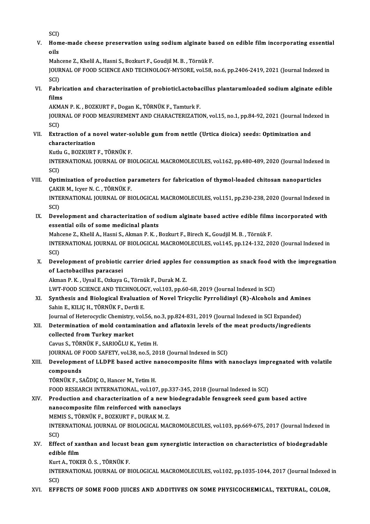SCI)<br>Hom

V. Home-made cheese preservation using sodiumalginate based on edible filmincorporating essential SCI)<br>Hom<br>oils<br>Mab Home-made cheese preservation using sodium alginate ba<br>oils<br>Mahcene Z., Khelil A., Hasni S., Bozkurt F., Goudjil M. B. , Törnük F.<br>JOUPMAL OF FOOD SCIENCE AND TECHNOLOCY MYSOPE val 59

JOURNAL OF FOOD SCIENCE AND TECHNOLOGY-MYSORE, vol.58, no.6, pp.2406-2419, 2021 (Journal Indexed in<br>SCI) Mah<br>JOUR<br>SCI)<br>Eabr JOURNAL OF FOOD SCIENCE AND TECHNOLOGY-MYSORE, vol.58, no.6, pp.2406-2419, 2021 (Journal Indexed in<br>SCI)<br>VI. Fabrication and characterization of probioticLactobacillus plantarumloaded sodium alginate edible<br>films

SCI)<br>Fabri<br>films<br>AKMA Fabrication and characterization of probioticLactoba<br>films<br>AKMAN P. K. , BOZKURT F., Dogan K., TÖRNÜK F., Tamturk F.<br>JOUPMAL OF FOOD MEASUPEMENT AND CHARACTERIZATIC

AKMAN P. K., BOZKURT F., Dogan K., TÖRNÜK F., Tamturk F.

films<br>AKMAN P. K. , BOZKURT F., Dogan K., TÖRNÜK F., Tamturk F.<br>JOURNAL OF FOOD MEASUREMENT AND CHARACTERIZATION, vol.15, no.1, pp.84-92, 2021 (Journal Indexed in<br>SCI) JOURNAL OF FOOD MEASUREMENT AND CHARACTERIZATION, vol.15, no.1, pp.84-92, 2021 (Journal Inde SCI)<br>SCI)<br>VII. Extraction of a novel water-soluble gum from nettle (Urtica dioica) seeds: Optimization and<br>characterization

SCI)<br>Extraction of a ne<br>characterization<br><sup>Vurbe</sup>C BOZVIPT characterization<br>Kutlu G., BOZKURT F., TÖRNÜK F.

characterization<br>Kutlu G., BOZKURT F., TÖRNÜK F.<br>INTERNATIONAL JOURNAL OF BIOLOGICAL MACROMOLECULES, vol.162, pp.480-489, 2020 (Journal Indexed in Kutlu<br>INTE<br>SCI)<br>Onti INTERNATIONAL JOURNAL OF BIOLOGICAL MACROMOLECULES, vol.162, pp.480-489, 2020 (Journal Indexed<br>SCI)<br>VIII. Optimization of production parameters for fabrication of thymol-loaded chitosan nanoparticles<br>CAVIP M. LEVER N. C. T

SCI)<br>Optimization of production p:<br>ÇAKIR M., Icyer N. C. , TÖRNÜK F.<br>INTERNATIONAL JOURNAL OF PI Optimization of production parameters for fabrication of thymol-loaded chitosan nanoparticles<br>ÇAKIR M., Icyer N. C. , TÖRNÜK F.<br>INTERNATIONAL JOURNAL OF BIOLOGICAL MACROMOLECULES, vol.151, pp.230-238, 2020 (Journal Indexed

ÇAKIR M., Icyer N. C. , TÖRNÜK F.<br>INTERNATIONAL JOURNAL OF BIOLOGICAL MACROMOLECULES, vol.151, pp.230-238, 2020 (Journal Indexed in<br>SCI) INTERNATIONAL JOURNAL OF BIOLOGICAL MACROMOLECULES, vol.151, pp.230-238, 2020 (Journal Indexed in<br>SCI)<br>IX. Development and characterization of sodium alginate based active edible films incorporated with<br>essential eils of s

SCI)<br>Development and characterization of s<br>essential oils of some medicinal plants<br>Maksona 7, Kholil A, Hasni S, Alman B, K, J Development and characterization of sodium alginate based active edible films<br>essential oils of some medicinal plants<br>Mahcene Z., Khelil A., Hasni S., Akman P. K. , Bozkurt F., Birech K., Goudjil M. B. , Törnük F.<br>INTERNAT

essential oils of some medicinal plants<br>Mahcene Z., Khelil A., Hasni S., Akman P. K. , Bozkurt F., Birech K., Goudjil M. B. , Törnük F.<br>INTERNATIONAL JOURNAL OF BIOLOGICAL MACROMOLECULES, vol.145, pp.124-132, 2020 (Journal Mahcene Z., Khelil A., Hasni S., Akman P. K. , Bozkurt F., Birech K., Goudjil M. B. , Törnük F.<br>INTERNATIONAL JOURNAL OF BIOLOGICAL MACROMOLECULES, vol.145, pp.124-132, 20<br>SCI) INTERNATIONAL JOURNAL OF BIOLOGICAL MACROMOLECULES, vol.145, pp.124-132, 2020 (Journal Indexed in<br>SCI)<br>X. Development of probiotic carrier dried apples for consumption as snack food with the impregnation<br>of Lastebasillys p

SCI)<br>Development of probiotic<br>of Lactobacillus paracasei<br>Alman B.K., Ursal E. Orkaya Development of probiotic carrier dried apples fo<br>of Lactobacillus paracasei<br>Akman P. K. , Uysal E., Ozkaya G., Törnük F., Durak M. Z.<br>UWT FOOD SCIENCE AND TECHNOLOCY vel 103 np 60 of Lactobacillus paracasei<br>Akman P. K. , Uysal E., Ozkaya G., Törnük F., Durak M. Z.<br>LWT-FOOD SCIENCE AND TECHNOLOGY, vol.103, pp.60-68, 2019 (Journal Indexed in SCI)<br>Synthosis and Biologisal Evoluction of Novel Trievelis

Akman P. K. , Uysal E., Ozkaya G., Törnük F., Durak M. Z.<br>LWT-FOOD SCIENCE AND TECHNOLOGY, vol.103, pp.60-68, 2019 (Journal Indexed in SCI)<br>XI. Synthesis and Biological Evaluation of Novel Tricyclic Pyrrolidinyl (R)-Alcoho LWT-FOOD SCIENCE AND TECHNOLO<br>Synthesis and Biological Evaluatio<br>Sahin E., KILIÇ H., TÖRNÜK F., Dertli E.<br>Journal of Heterogyskie Chemistry, vol.

Journal of Heterocyclic Chemistry, vol.56, no.3, pp.824-831, 2019 (Journal Indexed in SCI Expanded)

# Sahin E., KILIÇ H., TÖRNÜK F., Dertli E.<br>Journal of Heterocyclic Chemistry, vol.56, no.3, pp.824-831, 2019 (Journal Indexed in SCI Expanded)<br>XII. Determination of mold contamination and aflatoxin levels of the meat product Journal of Heterocyclic Chemistry,<br>Determination of mold contan<br>collected from Turkey market<br>Carue S. TÖDNÜV E. SADIOČLU V. Determination of mold contamination<br>collected from Turkey market<br>Cavus S., TÖRNÜK F., SARIOĞLU K., Yetim H.<br>JOUPMAL OF FOOD SAEETY, vol 39, po 5, 30

collected from Turkey market<br>Cavus S., TÖRNÜK F., SARIOĞLU K., Yetim H.<br>JOURNAL OF FOOD SAFETY, vol.38, no.5, 2018 (Journal Indexed in SCI)<br>Povelonment of J.J.DPE beeed estive penesennesite films with

## Cavus S., TÖRNÜK F., SARIOĞLU K., Yetim H.<br>JOURNAL OF FOOD SAFETY, vol.38, no.5, 2018 (Journal Indexed in SCI)<br>XIII. Development of LLDPE based active nanocomposite films with nanoclays impregnated with volatile **JOURNAL OF<br>Developmer<br>compounds<br>TÖPNÜKE S** Development of LLDPE based active n<br>compounds<br>TÖRNÜK F., SAĞDIÇ O., Hancer M., Yetim H.<br>FOOD PESEARCH INTERNATIONAL .vol 10. compounds<br>TÖRNÜK F., SAĞDIÇ O., Hancer M., Yetim H.<br>FOOD RESEARCH INTERNATIONAL, vol.107, pp.337-345, 2018 (Journal Indexed in SCI)

## TÖRNÜK F., SAĞDIÇ O., Hancer M., Yetim H.<br>FOOD RESEARCH INTERNATIONAL, vol.107, pp.337-345, 2018 (Journal Indexed in SCI)<br>XIV. Production and characterization of a new biodegradable fenugreek seed gum based active<br>nanosemn FOOD RESEARCH INTERNATIONAL, vol.107, pp.337-3<br>Production and characterization of a new biod<br>nanocomposite film reinforced with nanoclays<br>MEMIS S. TÖRNÜK E. POZKUPT E. DURAK M.Z. Production and characterization of a new m<br>nanocomposite film reinforced with nanoc<br>MEMIS S., TÖRNÜK F., BOZKURT F., DURAK M. Z.<br>INTERNATIONAL JOURNAL OF PIOLOCICAL MAG nanocomposite film reinforced with nanoclays<br>MEMIS S., TÖRNÜK F., BOZKURT F., DURAK M. Z.<br>INTERNATIONAL JOURNAL OF BIOLOGICAL MACROMOLECULES, vol.103, pp.669-675, 2017 (Journal Indexed in<br>SCI) MEMIS S., TÖRNÜK F., BOZKURT F., DURAK M. Z.

# INTERNATIONAL JOURNAL OF BIOLOGICAL MACROMOLECULES, vol.103, pp.669-675, 2017 (Journal Indexed in<br>SCI)<br>XV. Effect of xanthan and locust bean gum synergistic interaction on characteristics of biodegradable<br>edible film edible film Effect of xanthan and locust<br>edible film<br>Kurt A., TOKERÖ.S. , TÖRNÜK F.<br>INTERNATIONAL JOURNAL OF P

Kurt A., TOKER Ö. S., TÖRNÜK F.

INTERNATIONAL JOURNAL OF BIOLOGICAL MACROMOLECULES, vol.102, pp.1035-1044, 2017 (Journal Indexed in SCI)

XVI. EFFECTS OF SOME FOOD JUICES AND ADDITIVES ON SOME PHYSICOCHEMICAL, TEXTURAL, COLOR,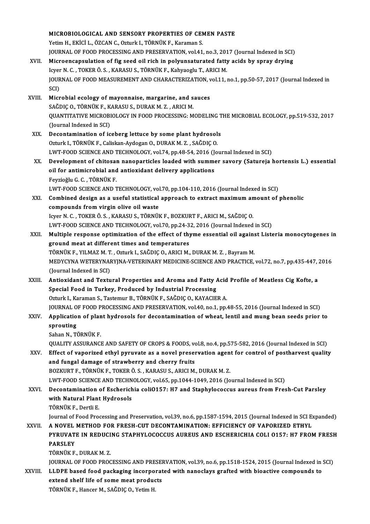|         | MICROBIOLOGICAL AND SENSORY PROPERTIES OF CEMEN PASTE                                                                                                               |
|---------|---------------------------------------------------------------------------------------------------------------------------------------------------------------------|
|         | Yetim H., EKİCİ L., ÖZCAN C., Ozturk I., TÖRNÜK F., Karaman S.                                                                                                      |
|         | JOURNAL OF FOOD PROCESSING AND PRESERVATION, vol.41, no.3, 2017 (Journal Indexed in SCI)                                                                            |
| XVII.   | Microencapsulation of fig seed oil rich in polyunsaturated fatty acids by spray drying                                                                              |
|         | Icyer N. C., TOKER Ö. S., KARASU S., TÖRNÜK F., Kahyaoglu T., ARICI M.                                                                                              |
|         | JOURNAL OF FOOD MEASUREMENT AND CHARACTERIZATION, vol.11, no.1, pp.50-57, 2017 (Journal Indexed in                                                                  |
|         | SCI)                                                                                                                                                                |
| XVIII.  | Microbial ecology of mayonnaise, margarine, and sauces                                                                                                              |
|         | SAĞDIÇ O., TÖRNÜK F., KARASU S., DURAK M. Z., ARICI M.                                                                                                              |
|         | QUANTITATIVE MICROBIOLOGY IN FOOD PROCESSING: MODELING THE MICROBIAL ECOLOGY, pp.519-532, 2017                                                                      |
|         | (Journal Indexed in SCI)                                                                                                                                            |
| XIX.    | Decontamination of iceberg lettuce by some plant hydrosols                                                                                                          |
|         | Ozturk I., TÖRNÜK F., Caliskan-Aydogan O., DURAK M. Z., SAĞDIÇ O.                                                                                                   |
|         | LWT-FOOD SCIENCE AND TECHNOLOGY, vol.74, pp.48-54, 2016 (Journal Indexed in SCI)                                                                                    |
| XX.     | Development of chitosan nanoparticles loaded with summer savory (Satureja hortensis L.) essential                                                                   |
|         | oil for antimicrobial and antioxidant delivery applications                                                                                                         |
|         | Feyzioğlu G. C., TÖRNÜK F.                                                                                                                                          |
|         | LWT-FOOD SCIENCE AND TECHNOLOGY, vol.70, pp.104-110, 2016 (Journal Indexed in SCI)                                                                                  |
| XXI.    | Combined design as a useful statistical approach to extract maximum amount of phenolic                                                                              |
|         | compounds from virgin olive oil waste                                                                                                                               |
|         | Icyer N. C., TOKER Ö. S., KARASU S., TÖRNÜK F., BOZKURT F., ARICI M., SAĞDIÇ O.<br>LWT-FOOD SCIENCE AND TECHNOLOGY, vol.70, pp.24-32, 2016 (Journal Indexed in SCI) |
| XXII.   | Multiple response optimization of the effect of thyme essential oil against Listeria monocytogenes in                                                               |
|         | ground meat at different times and temperatures                                                                                                                     |
|         | TÖRNÜK F., YILMAZ M. T., Ozturk I., SAĞDIÇ O., ARICI M., DURAK M. Z., Bayram M.                                                                                     |
|         | MEDYCYNA WETERYNARYJNA-VETERINARY MEDICINE-SCIENCE AND PRACTICE, vol.72, no.7, pp.435-447, 2016                                                                     |
|         | (Journal Indexed in SCI)                                                                                                                                            |
| XXIII.  | Antioxidant and Textural Properties and Aroma and Fatty Acid Profile of Meatless Cig Kofte, a                                                                       |
|         | Special Food in Turkey, Produced by Industrial Processing                                                                                                           |
|         | Ozturk I., Karaman S., Tastemur B., TÖRNÜK F., SAĞDIÇ O., KAYACIER A.                                                                                               |
|         | JOURNAL OF FOOD PROCESSING AND PRESERVATION, vol.40, no.1, pp.48-55, 2016 (Journal Indexed in SCI)                                                                  |
| XXIV.   | Application of plant hydrosols for decontamination of wheat, lentil and mung bean seeds prior to                                                                    |
|         | sprouting                                                                                                                                                           |
|         | Sahan N., TÖRNÜK F.                                                                                                                                                 |
|         | QUALITY ASSURANCE AND SAFETY OF CROPS & FOODS, vol.8, no.4, pp.575-582, 2016 (Journal Indexed in SCI)                                                               |
| XXV.    | Effect of vaporized ethyl pyruvate as a novel preservation agent for control of postharvest quality                                                                 |
|         | and fungal damage of strawberry and cherry fruits                                                                                                                   |
|         | BOZKURT F., TÖRNÜK F., TOKER Ö. S., KARASU S., ARICI M., DURAK M. Z.                                                                                                |
|         | LWT-FOOD SCIENCE AND TECHNOLOGY, vol.65, pp.1044-1049, 2016 (Journal Indexed in SCI)                                                                                |
| XXVI.   | Decontamination of Escherichia coliO157: H7 and Staphylococcus aureus from Fresh-Cut Parsley                                                                        |
|         | with Natural Plant Hydrosols<br>TÖRNÜK F., Dertli E.                                                                                                                |
|         | Journal of Food Processing and Preservation, vol.39, no.6, pp.1587-1594, 2015 (Journal Indexed in SCI Expanded)                                                     |
| XXVII.  | A NOVEL METHOD FOR FRESH-CUT DECONTAMINATION: EFFICIENCY OF VAPORIZED ETHYL                                                                                         |
|         | PYRUVATE IN REDUCING STAPHYLOCOCCUS AUREUS AND ESCHERICHIA COLI 0157: H7 FROM FRESH                                                                                 |
|         | <b>PARSLEY</b>                                                                                                                                                      |
|         | TÖRNÜK F., DURAK M.Z.                                                                                                                                               |
|         | JOURNAL OF FOOD PROCESSING AND PRESERVATION, vol.39, no.6, pp.1518-1524, 2015 (Journal Indexed in SCI)                                                              |
| XXVIII. | LLDPE based food packaging incorporated with nanoclays grafted with bioactive compounds to                                                                          |
|         | extend shelf life of some meat products                                                                                                                             |
|         | TÖRNÜK F., Hancer M., SAĞDIÇ O., Yetim H.                                                                                                                           |
|         |                                                                                                                                                                     |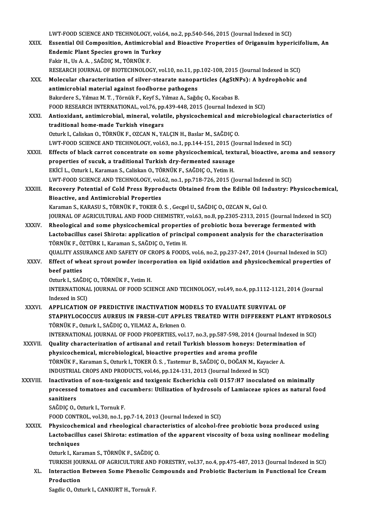LWT-FOOD SCIENCE AND TECHNOLOGY, vol.64, no.2, pp.540-546, 2015 (Journal Indexed in SCI)<br>Essential Oil Composition, Antimispobial and Bioastive Properties of Origanuim byner XXIX. Essential Oil Composition, Antimicrobial and Bioactive Properties of Origanuimhypericifolium, An LWT-FOOD SCIENCE AND TECHNOLOGY, vol.<br>Essential Oil Composition, Antimicrobial<br>Endemic Plant Species grown in Turkey<br>Felin H, He A, A, SAČDIC M, TÖDNÜK F Endemic Plant Species grown in Turkey<br>Fakir H., Us A.A., SAĞDIÇM., TÖRNÜK F. Endemic Plant Species grown in Turkey<br>Fakir H., Us A. A. , SAĞDIÇ M., TÖRNÜK F.<br>RESEARCH JOURNAL OF BIOTECHNOLOGY, vol.10, no.11, pp.102-108, 2015 (Journal Indexed in SCI)<br>Melecular sharasterization of silver stearate nano Fakir H., Us A. A. , SAĞDIÇ M., TÖRNÜK F.<br>RESEARCH JOURNAL OF BIOTECHNOLOGY, vol.10, no.11, pp.102-108, 2015 (Journal Indexed in SCI)<br>XXX. Molecular characterization of silver-stearate nanoparticles (AgStNPs): A hydrophobi RESEARCH JOURNAL OF BIOTECHNOLOGY, vol.10, no.11, pp<br>Molecular characterization of silver-stearate nanopa<br>antimicrobial material against foodborne pathogens<br>Pakrdore S. Vilmes M. T. Törnük E. Kouf S. Vilmes A. Sožd Molecular characterization of silver-stearate nanoparticles (AgStN:<br>antimicrobial material against foodborne pathogens<br>Bakırdere S., Yılmaz M. T. , Törnük F., Keyf S., Yılmaz A., Sağdıç O., Kocabas B.<br>FOOD BESEABCH INTERNA antimicrobial material against foodborne pathogens<br>Bakırdere S., Yılmaz M. T. , Törnük F., Keyf S., Yılmaz A., Sağdıç O., Kocabas B.<br>FOOD RESEARCH INTERNATIONAL, vol.76, pp.439-448, 2015 (Journal Indexed in SCI)<br>Antioxiden Bakırdere S., Yılmaz M. T. , Törnük F., Keyf S., Yılmaz A., Sağdıç O., Kocabas B.<br>FOOD RESEARCH INTERNATIONAL, vol.76, pp.439-448, 2015 (Journal Indexed in SCI)<br>XXXI. Antioxidant, antimicrobial, mineral, volatile, physicoc FOOD RESEARCH INTERNATIONAL, vol.76, pp.<br>Antioxidant, antimicrobial, mineral, volat<br>traditional home-made Turkish vinegars<br>Orturk L. Coliskan O. TÖRNÜK E. OZCAN N. YA Antioxidant, antimicrobial, mineral, volatile, physicochemical and m<br>traditional home-made Turkish vinegars<br>Ozturk I., Caliskan O., TÖRNÜK F., OZCAN N., YALÇIN H., Baslar M., SAĞDIÇ O.<br>UWT EOOD SCIENCE AND TECHNOLOCY vel 6 traditional home-made Turkish vinegars<br>Ozturk I., Caliskan O., TÖRNÜK F., OZCAN N., YALÇIN H., Baslar M., SAĞDIÇ O.<br>LWT-FOOD SCIENCE AND TECHNOLOGY, vol.63, no.1, pp.144-151, 2015 (Journal Indexed in SCI) Ozturk I., Caliskan O., TÖRNÜK F., OZCAN N., YALÇIN H., Baslar M., SAĞDIÇ O.<br>LWT-FOOD SCIENCE AND TECHNOLOGY, vol.63, no.1, pp.144-151, 2015 (Journal Indexed in SCI)<br>XXXII. Effects of black carrot concentrate on some physi LWT-FOOD SCIENCE AND TECHNOLOGY, vol.63, no.1, pp.144-151, 2015 (Journal of Sucuk, a traditional Turkish dry-fermented sausage<br>properties of sucuk, a traditional Turkish dry-fermented sausage<br>Exici L. Otturk L. Karaman S. Effects of black carrot concentrate on some physicochemical, text<br>properties of sucuk, a traditional Turkish dry-fermented sausage<br>EKİCİ L., Ozturk I., Karaman S., Caliskan O., TÖRNÜK F., SAĞDIÇ O., Yetim H.<br>LWT EOOD SCIEN properties of sucuk, a traditional Turkish dry-fermented sausage<br>EKİCİ L., Ozturk I., Karaman S., Caliskan O., TÖRNÜK F., SAĞDIÇ O., Yetim H.<br>LWT-FOOD SCIENCE AND TECHNOLOGY, vol.62, no.1, pp.718-726, 2015 (Journal Indexed EKİCİ L., Ozturk I., Karaman S., Caliskan O., TÖRNÜK F., SAĞDIÇ O., Yetim H.<br>LWT-FOOD SCIENCE AND TECHNOLOGY, vol.62, no.1, pp.718-726, 2015 (Journal Indexed in SCI)<br>XXXIII. Recovery Potential of Cold Press Byproducts Obta LWT-FOOD SCIENCE AND TECHNOLOGY, vol.<br>Recovery Potential of Cold Press Bypro<br>Bioactive, and Antimicrobial Properties<br>Karaman S. KARASUS, TÖRNÜK E. TOKER Ö Karaman S., KARASU S., TÖRNÜK F., TOKER Ö. S., Gecgel U., SAĞDIÇ O., OZCAN N., Gul O. Bioactive, and Antimicrobial Properties<br>Karaman S., KARASU S., TÖRNÜK F., TOKER Ö. S. , Gecgel U., SAĞDIÇ O., OZCAN N., Gul O.<br>JOURNAL OF AGRICULTURAL AND FOOD CHEMISTRY, vol.63, no.8, pp.2305-2313, 2015 (Journal Indexed i Karaman S., KARASU S., TÖRNÜK F., TOKER Ö.S. , Gecgel U., SAĞDIÇ O., OZCAN N., Gul O.<br>JOURNAL OF AGRICULTURAL AND FOOD CHEMISTRY, vol.63, no.8, pp.2305-2313, 2015 (Journal Indexed in<br>XXXIV. Rheological and some physicochem JOURNAL OF AGRICULTURAL AND FOOD CHEMISTRY, vol.63, no.8, pp.2305-2313, 2015 (Journal Indexed in St<br>Rheological and some physicochemical properties of probiotic boza beverage fermented with<br>Lactobacillus casei Shirota: app Rheological and some physicochemical propertie<br>Lactobacillus casei Shirota: application of princij<br>TÖRNÜK F., ÖZTÜRK I., Karaman S., SAĞDIÇ O., Yetim H.<br>QUALITY ASSUPANCE AND SAEETY OF CROPS & FOODS Lactobacillus casei Shirota: application of principal component analysis for the characterisation<br>TÖRNÜK F., ÖZTÜRK I., Karaman S., SAĞDIÇ O., Yetim H.<br>QUALITY ASSURANCE AND SAFETY OF CROPS & FOODS, vol.6, no.2, pp.237-247 TÖRNÜK F., ÖZTÜRK I., Karaman S., SAĞDIÇ O., Yetim H.<br>QUALITY ASSURANCE AND SAFETY OF CROPS & FOODS, vol.6, no.2, pp.237-247, 2014 (Journal Indexed in SCI)<br>XXXV. Effect of wheat sprout powder incorporation on lipid oxi QUALITY ASSE<br>Effect of wh<br>beef patties<br>Ogturk L.SAČ Effect of wheat sprout powder incorporation on lipid oxidation and physicochemical properties of<br>beef patties<br>Ozturk I., SAĞDIÇ O., TÖRNÜK F., Yetim H. beef patties<br>Ozturk I., SAĞDIÇ O., TÖRNÜK F., Yetim H.<br>INTERNATIONAL JOURNAL OF FOOD SCIENCE AND TECHNOLOGY, vol.49, no.4, pp.1112-1121, 2014 (Journal Ozturk I., SAĞDI<br>INTERNATIONA<br>Indexed in SCI)<br>APPLICATION INTERNATIONAL JOURNAL OF FOOD SCIENCE AND TECHNOLOGY, vol.49, no.4, pp.1112-1121,<br>Indexed in SCI)<br>XXXVI. APPLICATION OF PREDICTIVE INACTIVATION MODELS TO EVALUATE SURVIVAL OF Indexed in SCI)<br>APPLICATION OF PREDICTIVE INACTIVATION MODELS TO EVALUATE SURVIVAL OF<br>STAPHYLOCOCCUS AUREUS IN FRESH-CUT APPLES TREATED WITH DIFFERENT PLANT HYDROSOLS TÖRNÜKF.,OzturkI.,SAĞDIÇO.,YILMAZA.,ErkmenO. STAPHYLOCOCCUS AUREUS IN FRESH-CUT APPLES TREATED WITH DIFFERENT PLANT HYDRO:<br>TÖRNÜK F., Ozturk I., SAĞDIÇ O., YILMAZ A., Erkmen O.<br>INTERNATIONAL JOURNAL OF FOOD PROPERTIES, vol.17, no.3, pp.587-598, 2014 (Journal Indexed TÖRNÜK F., Ozturk I., SAĞDIÇ O., YILMAZ A., Erkmen O.<br>INTERNATIONAL JOURNAL OF FOOD PROPERTIES, vol.17, no.3, pp.587-598, 2014 (Journal Indexed in<br>XXXVII. Quality characterization of artisanal and retail Turkish blossom ho INTERNATIONAL JOURNAL OF FOOD PROPERTIES, vol.17, no.3, pp.587-598, 2014 (<br>Quality characterization of artisanal and retail Turkish blossom honeys: I<br>physicochemical, microbiological, bioactive properties and aroma profile Quality characterization of artisanal and retail Turkish blossom honeys: Determination of<br>physicochemical, microbiological, bioactive properties and aroma profile<br>TÖRNÜK F., Karaman S., Ozturk I., TOKER Ö. S. , Tastemur B. INDUSTRIAL CROPS AND PRODUCTS, vol.46, pp.124-131, 2013 (Journal Indexed in SCI) TÖRNÜK F., Karaman S., Ozturk I., TOKER Ö. S., Tastemur B., SAĞDIÇ O., DOĞAN M., Kayacier A.<br>INDUSTRIAL CROPS AND PRODUCTS, vol.46, pp.124-131, 2013 (Journal Indexed in SCI)<br>XXXVIII. Inactivation of non-toxigenic and toxig INDUSTRIAL CROPS AND PRODUCTS, vol.46, pp.124-131, 2013 (Journal Indexed in SCI)<br>Inactivation of non-toxigenic and toxigenic Escherichia coli 0157:H7 inoculated on minimally<br>processed tomatoes and cucumbers: Utilization of **Inactivatio<br>processed<br>sanitizers<br>sačpic Q** processed tomatoes and cu<br>sanitizers<br>SAĞDIÇ 0., Ozturk I., Tornuk F.<br>FOOD CONTPOL, vol 20, po 1, r s<mark>anitizers</mark><br>SAĞDIÇ O., Ozturk I., Tornuk F.<br>FOOD CONTROL, vol.30, no.1, pp.7-14, 2013 (Journal Indexed in SCI) SAĞDIÇ O., Ozturk I., Tornuk F.<br>FOOD CONTROL, vol.30, no.1, pp.7-14, 2013 (Journal Indexed in SCI)<br>XXXIX. Physicochemical and rheological characteristics of alcohol-free probiotic boza produced using<br>I actobasillus sessi S Lactobacillus casei Shirota: estimation of the apparent viscosity of boza using nonlinear modeling<br>techniques Physicoche<br>Lactobacillu<br>techniques<br>Ogturk L. Kor Ozturk I., Karaman S., TÖRNÜK F., SAĞDIÇ O. techniques<br>Ozturk I., Karaman S., TÖRNÜK F., SAĞDIÇ O.<br>TURKISH JOURNAL OF AGRICULTURE AND FORESTRY, vol.37, no.4, pp.475-487, 2013 (Journal Indexed in SCI)<br>Interaction Between Some Phonolis Compounds and Probiotis Bostoriu Ozturk I., Karaman S., TÖRNÜK F., SAĞDIÇ O.<br>TURKISH JOURNAL OF AGRICULTURE AND FORESTRY, vol.37, no.4, pp.475-487, 2013 (Journal Indexed in SCI)<br>XL. Interaction Between Some Phenolic Compounds and Probiotic Bacterium i TURKISH JOU<br>Interaction<br>Production Interaction Between Some Phenolic Compounds and Probiotic Bacterium in Functional Ice Cream<br>Production<br>Sagdic O., Ozturk I., CANKURT H., Tornuk F.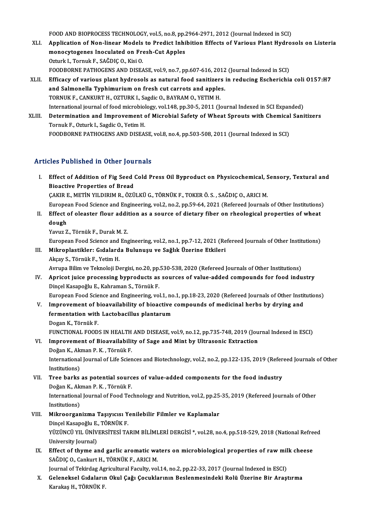FOOD AND BIOPROCESS TECHNOLOGY, vol.5, no.8, pp.2964-2971, 2012 (Journal Indexed in SCI)<br>Application of Non-linear Models to Prodist Inhibition Effects of Various Plant Hydro

- FOOD AND BIOPROCESS TECHNOLOGY, vol.5, no.8, pp.2964-2971, 2012 (Journal Indexed in SCI)<br>XLI. Application of Non-linear Models to Predict Inhibition Effects of Various Plant Hydrosols on Listeria FOOD AND BIOPROCESS TECHNOLOGY, vol.5, no.8, pp.<br>Application of Non-linear Models to Predict Inhi<br>monocytogenes Inoculated on Fresh-Cut Apples<br>Ortual: L. Tonnuk E. SAČDIC O. Kisi O. Application of Non-linear Models<br>monocytogenes Inoculated on Fre<br>Ozturk I., Tornuk F., SAĞDIÇ O., Kisi O.<br>FOODPOPNE PATHOCENS AND DISEA monocytogenes Inoculated on Fresh-Cut Apples<br>Ozturk I., Tornuk F., SAĞDIÇ O., Kisi O.<br>FOODBORNE PATHOGENS AND DISEASE, vol.9, no.7, pp.607-616, 2012 (Journal Indexed in SCI)
- XLII. Efficacy of various plant hydrosols as natural food sanitizers in reducing Escherichia coli 0157:H7 FOODBORNE PATHOGENS AND DISEASE, vol.9, no.7, pp.607-616, 2012<br>Efficacy of various plant hydrosols as natural food sanitizers<br>and Salmonella Typhimurium on fresh cut carrots and apples.<br>TOBNUK E. CANKUPT H. OZTUBK L. Sodis Efficacy of various plant hydrosols as natural food sanitizer:<br>and Salmonella Typhimurium on fresh cut carrots and apple<br>TORNUK F., CANKURT H., OZTURK I., Sagdic O., BAYRAM O., YETIM H.<br>International journal of food microb TORNUK F., CANKURT H., OZTURK I., Sagdic O., BAYRAM O., YETIM H.<br>International journal of food microbiology, vol.148, pp.30-5, 2011 (Journal Indexed in SCI Expanded) TORNUK F., CANKURT H., OZTURK I., Sagdic O., BAYRAM O., YETIM H.<br>International journal of food microbiology, vol.148, pp.30-5, 2011 (Journal Indexed in SCI Expanded)<br>XLIII. Determination and Improvement of Microbial Safety
- International journal of food microbiol<br>Determination and Improvement<br>Tornuk F., Ozturk I., Sagdic O., Yetim H.<br>FOODPOPNE BATHOCENS AND DISEA Determination and Improvement of Microbial Safety of Wheat Sprouts with Chemical<br>Tornuk F., Ozturk I., Sagdic O., Yetim H.<br>FOODBORNE PATHOGENS AND DISEASE, vol.8, no.4, pp.503-508, 2011 (Journal Indexed in SCI) FOODBORNE PATHOGENS AND DISEASE, vol.8, no.4, pp.503-508, 2011 (Journal Indexed in SCI)<br>Articles Published in Other Journals

rticles Published in Other Journals<br>I. Effect of Addition of Fig Seed Cold Press Oil Byproduct on Physicochemical, Sensory, Textural and<br>Riseative Preperties of Preed Bioactive Properties of Bread<br>Bioactive Properties of Bread<br>CAKID E. METIN VU DIBIM B. ÖZÜ Effect of Addition of Fig Seed Cold Press Oil Byproduct on Physicochemical, S<br>Bioactive Properties of Bread<br>ÇAKIR E., METİN YILDIRIM R., ÖZÜLKÜ G., TÖRNÜK F., TOKER Ö. S. , SAĞDIÇ O., ARICI M.<br>European Eood Science and Eng

- Bioactive Properties of Bread<br>ÇAKIR E., METİN YILDIRIM R., ÖZÜLKÜ G., TÖRNÜK F., TOKER Ö. S. , SAĞDIÇ O., ARICI M.<br>European Food Science and Engineering, vol.2, no.2, pp.59-64, 2021 (Refereed Journals of Other Institutions CAKIR E., METIN YILDIRIM R., ÖZÜLKÜ G., TÖRNÜK F., TOKER Ö. S. , SAĞDIÇ O., ARICI M.<br>European Food Science and Engineering, vol.2, no.2, pp.59-64, 2021 (Refereed Journals of Other Institutions)<br>II. Effect of oleaster flour
- Europea<br><mark>Effect o</mark><br>dough<br><sup>Vouur 7</sup> II. Effect of oleaster flour addition as a source of dietary fiber on rheological properties of wheat dough<br>dough<br>Yavuz Z., Törnük F., Durak M. Z. dough<br>Yavuz Z., Törnük F., Durak M. Z.<br>European Food Science and Engineering, vol.2, no.1, pp.7-12, 2021 (Refereed Journals of Other Institutions)<br>Mikroplastikler: Gidelarda Bulunuau ve Sağlık Üzerine Etkileri

Yavuz Z., Törnük F., Durak M. Z.<br>European Food Science and Engineering, vol.2, no.1, pp.7-12, 2021 (Re<br>III. Mikroplastikler: Gıdalarda Bulunuşu ve Sağlık Üzerine Etkileri<br>Alsoy S. Törnük E. Yotim H III. Mikroplastikler: Gıdalarda Bulunuşu ve Sağlık Üzerine Etkileri<br>Akçay S., Törnük F., Yetim H.

Avrupa Bilim ve Teknoloji Dergisi, no.20, pp.530-538, 2020 (Refereed Journals of Other Institutions)

Akçay S., Törnük F., Yetim H.<br>Avrupa Bilim ve Teknoloji Dergisi, no.20, pp.530-538, 2020 (Refereed Journals of Other Institutions)<br>IV. Apricot juice processing byproducts as sources of value-added compounds for food indust Avrupa Bilim ve Teknoloji Dergisi, no.20, pp.<br><mark>Apricot juice processing byproducts as</mark><br>Dinçel Kasapoğlu E., Kahraman S., Törnük F.<br>Furonean Food Science and Engineering vo. Apricot juice processing byproducts as sources of value-added compounds for food industry<br>Dincel Kasapoğlu E., Kahraman S., Törnük F.<br>European Food Science and Engineering, vol.1, no.1, pp.18-23, 2020 (Refereed Journals of

Dinçel Kasapoğlu E., Kahraman S., Törnük F.<br>European Food Science and Engineering, vol.1, no.1, pp.18-23, 2020 (Refereed Journals of Other Instit<br>V. Improvement of bioavailability of bioactive compounds of medicinal herbs European Food Science and Engineering, vol.1, no<br>Improvement of bioavailability of bioactive<br>fermentation with Lactobacillus plantarum<br>Degen K. Tännük E V. Improvement of bioavailability of bioactive compounds of medicinal herbs by drying and fermentation with Lactobacillus plantarum<br>Dogan K., Törnük F. fermentation with Lactobacillus plantarum<br>Dogan K., Törnük F.<br>FUNCTIONAL FOODS IN HEALTH AND DISEASE, vol.9, no.12, pp.735-748, 2019 (Journal Indexed in ESCI)<br>Improvement of Bioquallability of Soge and Mint by Ultresonia E

Dogan K., Törnük F.<br>FUNCTIONAL FOODS IN HEALTH AND DISEASE, vol.9, no.12, pp.735-748, 2019 (Jou<br>VI. Improvement of Bioavailability of Sage and Mint by Ultrasonic Extraction<br>Doğan K. Alman B. K., Törnük E. FUNCTIONAL FOODS IN HEALTH<br>Improvement of Bioavailabili<br>Doğan K., Akman P. K. , Törnük F.<br>International Journal of Life Scien VI. Improvement of Bioavailability of Sage and Mint by Ultrasonic Extraction<br>Doğan K., Akman P. K. , Törnük F.<br>International Journal of Life Sciences and Biotechnology, vol.2, no.2, pp.122-135, 2019 (Refereed Journals of O Doğan K., Akman P. K., Törnük F.

International Journal of Life Sciences and Biotechnology, vol.2, no.2, pp.122-135, 2019 (Refer<br>Institutions)<br>VII. Tree barks as potential sources of value-added components for the food industry<br>Doğan K. Alman B. K. Törnük Institutions)<br><mark>Tree barks as potential sourc</mark><br>Doğan K., Akman P. K. , Törnük F.<br>International Journal of Eood Tea Tree barks as potential sources of value-added components for the food industry<br>Doğan K., Akman P. K. , Törnük F.<br>International Journal of Food Technology and Nutrition, vol.2, pp.25-35, 2019 (Refereed Journals of Other<br>In Doğan K., Aki<br>International<br>Institutions)<br>Mikroorgan

- International Journal of Food Technology and Nutrition, vol.2, pp.25<br>Institutions)<br>VIII. Mikroorganizma Taşıyıcısı Yenilebilir Filmler ve Kaplamalar<br>Dingel Kasanoğlu E. TÖDNÜK E Institutions)<br><mark>Mikroorganizma Taşıyıcısı Y</mark><br>Dinçel Kasapoğlu E., TÖRNÜK F.<br>YüzüNCÜ YIL ÜNİVERSİTESİ TA Mikroorganizma Taşıyıcısı Yenilebilir Filmler ve Kaplamalar<br>Dinçel Kasapoğlu E., TÖRNÜK F.<br>YÜZÜNCÜ YIL ÜNİVERSİTESİ TARIM BİLİMLERİ DERGİSİ \*, vol.28, no.4, pp.518-529, 2018 (National Refreed<br>University Journal) Dinçel Kasapoğlu E.<br>YÜZÜNCÜ YIL ÜNİV<br>University Journal)<br>Effect of thume al YÜZÜNCÜ YIL ÜNIVERSITESI TARIM BILIMLERI DERGISI \*, vol.28, no.4, pp.518-529, 2018 (National Refre<br>University Journal)<br>IX. Effect of thyme and garlic aromatic waters on microbiological properties of raw milk cheese<br>SAČDICO
- University Journal)<br>IX. Effect of thyme and garlic aromatic waters on microbiological properties of raw milk cheese<br>SAĞDIÇ O., Cankurt H., TÖRNÜK F., ARICI M. Effect of thyme and garlic aromatic waters on microbiological properties of raw mil<br>SAĞDIÇ O., Cankurt H., TÖRNÜK F., ARICI M.<br>Journal of Tekirdag Agricultural Faculty, vol.14, no.2, pp.22-33, 2017 (Journal Indexed in ESCI

X. Geleneksel Gıdaların Okul Çağı Çocuklarının Beslenmesindeki Rolü Üzerine Bir Araştırma Journal of Tekirdag Ag<br><mark>Geleneksel Gıdaların</mark><br>Karakaş H., TÖRNÜK F.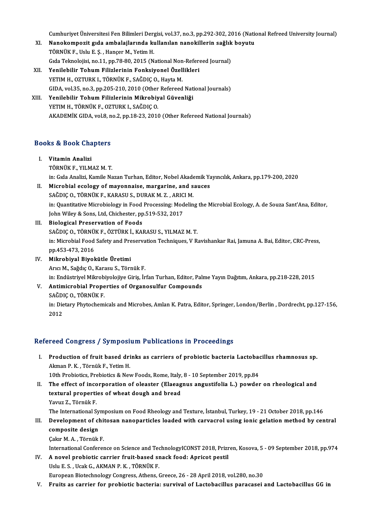Cumhuriyet Üniversitesi Fen Bilimleri Dergisi, vol.37, no.3, pp.292-302, 2016 (National Refreed University Journal)<br>Nanakamperit sıda ambalailarında kullanılan panakillarin sağlık boyutu.

- Cumhuriyet Üniversitesi Fen Bilimleri Dergisi, vol.37, no.3, pp.292-302, 2016 (National)<br>XI. Nanokompozit gıda ambalajlarında kullanılan nanokillerin sağlık boyutu Cumhuriyet Üniversitesi Fen Bilimleri Derg<br>Nanokompozit gıda ambalajlarında ku<br>TÖRNÜK F., Uslu E. Ş. , Hançer M., Yetim H.<br>Gıda Telmolojisi no 11. nn 79.90.2015 (N. XI. Nanokompozit gıda ambalajlarında kullanılan nanokillerin sağlık boyutu<br>TÖRNÜK F., Uslu E. Ş. , Hançer M., Yetim H.<br>Gıda Teknolojisi, no.11, pp.78-80, 2015 (National Non-Refereed Journal)
- XII. Yenilebilir Tohum Filizlerinin Fonksiyonel Özellikleri YETIM H., OZTURK I., TÖRNÜK F., SAĞDIÇ O., Hayta M. Yenilebilir Tohum Filizlerinin Fonksiyonel Özellikleri<br>YETIM H., OZTURK I., TÖRNÜK F., SAĞDIÇ O., Hayta M.<br>GIDA, vol.35, no.3, pp.205-210, 2010 (Other Refereed National Journals)<br>Yenilebilir Tehum Filizlerinin Mikrobiyal G
- XIII. Yenilebilir Tohum Filizlerinin Mikrobiyal Güvenliği<br>YETIM H., TÖRNÜK F., OZTURK I., SAĞDIC O. GIDA, vol.35, no.3, pp.205-210, 2010 (Other<br>Yenilebilir Tohum Filizlerinin Mikrobiy<br>YETIM H., TÖRNÜK F., OZTURK I., SAĞDIÇ O.<br>AKADEMİK CIDA .vol.2, no.2, np.12, 22, 2010 AKADEMİK GIDA, vol.8, no.2, pp.18-23, 2010 (Other Refereed National Journals)

# ARADEMIK GIDA, VOL8, N<br>Books & Book Chapters

- OOks & Book Cha<br>I. Vitamin Analizi<br>TÖPNÜK E. VII M I. Vitamin Analizi<br>TÖRNÜK F., YILMAZ M. T. in:GıdaAnalizi,KamileNazanTurhan,Editor,NobelAkademikYayıncılık,Ankara,pp.179-200,2020 TÖRNÜK F., YILMAZ M. T.<br>in: Gida Analizi, Kamile Nazan Turhan, Editor, Nobel Akademik Ya<br>II. Microbial ecology of mayonnaise, margarine, and sauces<br>SAĞDIC O. TÖRNÜK E. KARASU S. DURAK M. Z. ARICI M in: Gıda Analizi, Kamile Nazan Turhan, Editor, Nobel Akade<br>Microbial ecology of mayonnaise, margarine, and s<br>SAĞDIÇ O., TÖRNÜK F., KARASU S., DURAK M. Z. , ARICI M.<br>in: Quantitative Misrobialegy in Eaad Prassesing: Medelin
- in: Quantitative Microbiology in Food Processing: Modeling the Microbial Ecology, A. de Souza Sant'Ana, Editor,<br>John Wiley & Sons, Ltd, Chichester, pp.519-532, 2017 SAĞDIC O., TÖRNÜK F., KARASU S., DURAK M. Z., ARICI M.
- III. Biological Preservation of Foods John Wiley & Sons, Ltd, Chichester, pp.519-532, 2017<br>Biological Preservation of Foods<br>SAĞDIÇ O., TÖRNÜK F., ÖZTÜRK İ., KARASU S., YILMAZ M. T.<br>in: Microbial Food Safety and Preservation Techniques, V. P. in: Microbial Food Safety and Preservation Techniques, V Ravishankar Rai, Jamuna A. Bai, Editor, CRC-Press, pp.453-473, 2016 SAĞDIÇ O., TÖRNÜ<br>in: Microbial Food<br>pp.453-473, 2016<br>Mikrobiyal Biyal
- IV. Mikrobiyal Biyokütle Üretimi ArıcıM.,SağdıçO.,Karasu S.,TörnükF. in: Endüstriyel Mikrobiyolojiye Giriş, İrfan Turhan, Editor, Palme Yayın Dağıtım, Ankara, pp.218-228, 2015 in: Endüstriyel Mikrob<br><mark>Antimicrobial Prope</mark><br>SAĞDIÇ O., TÖRNÜK F.<br>in: Distaw Phytecham

## V. Antimicrobial Properties of Organosulfur Compounds

in: Dietary Phytochemicals and Microbes, Amlan K. Patra, Editor, Springer, London/Berlin, Dordrecht, pp.127-156,<br>2012 SAĞDI<br>in: Die<br>2012

## Refereed Congress / Symposium Publications in Proceedings

efereed Congress / Symposium Publications in Proceedings<br>I. Production of fruit based drinks as carriers of probiotic bacteria Lactobacillus rhamnosus sp.<br>Alman B.K. Tännük E. Vetim H Production of fruit based dri<br>Akman P. K., Törnük F., Yetim H.<br>10th Probiotics Probiotics & No. Production of fruit based drinks as carriers of probiotic bacteria Lactobae<br>Akman P. K., Törnük F., Yetim H.<br>10th Probiotics, Prebiotics & New Foods, Rome, Italy, 8 - 10 September 2019, pp.84<br>The effect of incorporation of

Akman P. K. , Törnük F., Yetim H.<br>10th Probiotics, Prebiotics & New Foods, Rome, Italy, 8 - 10 September 2019, pp.84<br>II. The effect of incorporation of oleaster (Elaeagnus angustifolia L.) powder on rheological and<br>tortura 10th Probiotics, Prebiotics & New Foods, Rome, Italy,<br>The effect of incorporation of oleaster (Elaeag<br>textural properties of wheat dough and bread<br>Young 7 Tönnük E The effect of inco<br>textural properti<br>Yavuz Z., Törnük F.<br>The International S textural properties of wheat dough and bread<br>Yavuz Z., Törnük F.<br>The International Symposium on Food Rheology and Texture, İstanbul, Turkey, 19 - 21 October 2018, pp.146<br>Davelopment of chitosen penenentiales leaded with ca

Yavuz Z., Törnük F.<br>The International Symposium on Food Rheology and Texture, İstanbul, Turkey, 19 - 21 October 2018, pp.146<br>III. Development of chitosan nanoparticles loaded with carvacrol using ionic gelation method by c The International Sy<br>Development of cl<br>composite design<br>Colur M.A. Törnük

Çakır M.A., Törnük F.

International Conference on Science and TechnologyICONST 2018, Prizren, Kosova, 5 - 09 September 2018, pp.974

IV. A novel probiotic carrier fruit-based snack food: Apricot pestil UsluE.S. ,UcakG.,AKMANP.K. ,TÖRNÜKF. European Biotechnology Congress, Athens, Greece, 26 - 28 April 2018, vol.280, no.30

V. Fruits as carrier for probiotic bacteria: survival of Lactobacillus paracasei and Lactobacillus GG in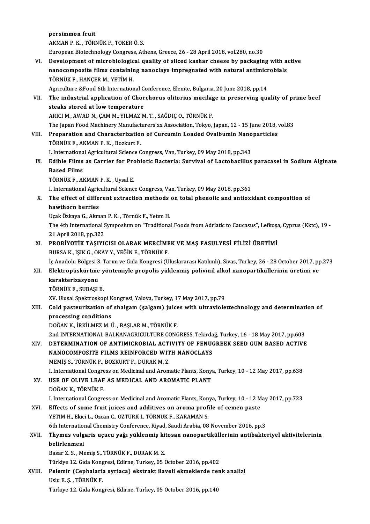|        | persimmon fruit                                                                                                                                    |
|--------|----------------------------------------------------------------------------------------------------------------------------------------------------|
|        | AKMAN P. K., TÖRNÜK F., TOKER Ö. S.                                                                                                                |
|        | European Biotechnology Congress, Athens, Greece, 26 - 28 April 2018, vol.280, no.30                                                                |
| VI.    | Development of microbiological quality of sliced kashar cheese by packaging with active                                                            |
|        | nanocomposite films containing nanoclays impregnated with natural antimicrobials                                                                   |
|        | TÖRNÜK F., HANÇER M., YETİM H.                                                                                                                     |
|        | Agriculture &Food 6th International Conference, Elenite, Bulgaria, 20 June 2018, pp.14                                                             |
| VII.   | The industrial application of Chorchorus olitorius mucilage in preserving quality of prime beef                                                    |
|        | steaks stored at low temperature                                                                                                                   |
|        | ARICI M., AWAD N., ÇAM M., YILMAZ M. T., SAĞDIÇ O., TÖRNÜK F.                                                                                      |
|        | The Japan Food Machinery Manufacturers'xx Association, Tokyo, Japan, 12 - 15 June 2018, vol.83                                                     |
| VIII.  | Preparation and Characterization of Curcumin Loaded Ovalbumin Nanoparticles                                                                        |
|        | TÖRNÜK F., AKMAN P. K., Bozkurt F.                                                                                                                 |
|        | I. International Agricultural Science Congress, Van, Turkey, 09 May 2018, pp.343                                                                   |
| IX.    | Edible Films as Carrier for Probiotic Bacteria: Survival of Lactobacillus paracasei in Sodium Alginate                                             |
|        | <b>Based Films</b>                                                                                                                                 |
|        | TÖRNÜK F., AKMAN P. K., Uysal E.                                                                                                                   |
|        | I. International Agricultural Science Congress, Van, Turkey, 09 May 2018, pp.361                                                                   |
| Χ.     | The effect of different extraction methods on total phenolic and antioxidant composition of                                                        |
|        | hawthorn berries                                                                                                                                   |
|        | Uçak Özkaya G., Akman P. K., Törnük F., Yetim H.                                                                                                   |
|        | The 4th International Symposium on "Traditional Foods from Adriatic to Caucasus", Lefkoșa, Cyprus (Kktc), 19 -                                     |
|        | 21 April 2018, pp.323                                                                                                                              |
| XI.    | PROBİYOTİK TAŞIYICISI OLARAK MERCİMEK VE MAŞ FASULYESİ FİLİZİ ÜRETİMİ                                                                              |
|        | BURSA K., IŞIK G., OKAY Y., YEĞİN E., TÖRNÜK F.                                                                                                    |
|        | İç Anadolu Bölgesi 3. Tarım ve Gıda Kongresi (Uluslararası Katılımlı), Sivas, Turkey, 26 - 28 October 2017, pp.273                                 |
| XII.   | Elektropüskürtme yöntemiyle propolis yüklenmiş polivinil alkol nanopartiküllerinin üretimi ve                                                      |
|        | karakterizasyonu                                                                                                                                   |
|        | TÖRNÜK F. SUBASI B.                                                                                                                                |
|        | XV. Ulusal Spektroskopi Kongresi, Yalova, Turkey, 17 May 2017, pp.79                                                                               |
| XIII.  | Cold pasteurization of shalgam (salgam) juices with ultraviolettechnology and determination of                                                     |
|        | processing conditions                                                                                                                              |
|        | DOĞAN K., İRKİLMEZ M. Ü., BAŞLAR M., TÖRNÜK F.                                                                                                     |
|        | 2nd INTERNATIONAL BALKANAGRICULTURE CONGRESS, Tekirdağ, Turkey, 16 - 18 May 2017, pp.603                                                           |
| XIV.   | DETERMINATION OF ANTIMICROBIAL ACTIVITY OF FENUGREEK SEED GUM BASED ACTIVE                                                                         |
|        | NANOCOMPOSITE FILMS REINFORCED WITH NANOCLAYS                                                                                                      |
|        | MEMİŞ S., TÖRNÜK F., BOZKURT F., DURAK M.Z.<br>I. International Congress on Medicinal and Aromatic Plants, Konya, Turkey, 10 - 12 May 2017, pp.638 |
| XV.    | USE OF OLIVE LEAF AS MEDICAL AND AROMATIC PLANT                                                                                                    |
|        | DOĞAN K, TÖRNÜK F.                                                                                                                                 |
|        | I. International Congress on Medicinal and Aromatic Plants, Konya, Turkey, 10 - 12 May 2017, pp.723                                                |
| XVI.   | Effects of some fruit juices and additives on aroma profile of cemen paste                                                                         |
|        | YETIM H., Ekici L., Özcan C., OZTURK I., TÖRNÜK F., KARAMAN S.                                                                                     |
|        | 6th International Chemistry Conference, Riyad, Saudi Arabia, 08 November 2016, pp.3                                                                |
| XVII.  | Thymus vulgaris uçucu yağı yüklenmiş kitosan nanopartiküllerinin antibakteriyel aktivitelerinin                                                    |
|        | belirlenmesi                                                                                                                                       |
|        | Basar Z. S., Memis S., TÖRNÜK F., DURAK M. Z.                                                                                                      |
|        | Türkiye 12. Gıda Kongresi, Edirne, Turkey, 05 October 2016, pp.402                                                                                 |
| XVIII. | Pelemir (Cephalaria syriaca) ekstrakt ilaveli ekmeklerde renk analizi                                                                              |
|        | Uslu E S., TÖRNÜK F.                                                                                                                               |
|        | Türkiye 12. Gıda Kongresi, Edirne, Turkey, 05 October 2016, pp.140                                                                                 |
|        |                                                                                                                                                    |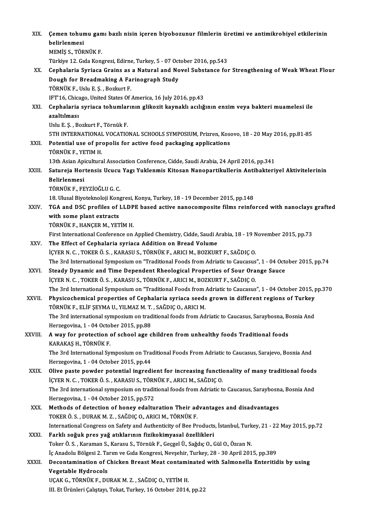| XIX.        | Çemen tohumu gamı bazlı nisin içeren biyobozunur filmlerin üretimi ve antimikrobiyel etkilerinin<br>belirlenmesi                                                                                   |
|-------------|----------------------------------------------------------------------------------------------------------------------------------------------------------------------------------------------------|
|             | MEMİŞ S., TÖRNÜK F.                                                                                                                                                                                |
|             | Türkiye 12. Gıda Kongresi, Edirne, Turkey, 5 - 07 October 2016, pp.543                                                                                                                             |
| XX.         | Cephalaria Syriaca Grains as a Natural and Novel Substance for Strengthening of Weak Wheat Flour                                                                                                   |
|             | Dough for Breadmaking A Farinograph Study                                                                                                                                                          |
|             | TÖRNÜK F., Uslu E. Ş., Bozkurt F.                                                                                                                                                                  |
|             | IFT'16, Chicago, United States Of America, 16 July 2016, pp.43                                                                                                                                     |
| XXI.        | Cephalaria syriaca tohumlarının glikozit kaynaklı acılığının enzim veya bakteri muamelesi ile                                                                                                      |
|             | azaltılması                                                                                                                                                                                        |
|             | Uslu E Ş , Bozkurt F , Törnük F                                                                                                                                                                    |
|             | 5TH INTERNATIONAL VOCATIONAL SCHOOLS SYMPOSIUM, Prizren, Kosovo, 18 - 20 May 2016, pp.81-85                                                                                                        |
| XXII.       | Potential use of propolis for active food packaging applications<br>TÖRNÜK F., YETIM H.                                                                                                            |
|             | 13th Asian Apicultural Association Conference, Cidde, Saudi Arabia, 24 April 2016, pp.341                                                                                                          |
| XXIII.      | Satureja Hortensis Ucucu Yagı Yuklenmis Kitosan Nanopartikullerin Antibakteriyel Aktivitelerinin                                                                                                   |
|             | <b>Belirlenmesi</b>                                                                                                                                                                                |
|             | TÖRNÜK F., FEYZİOĞLU G. C.                                                                                                                                                                         |
|             | 18. Ulusal Biyoteknoloji Kongresi, Konya, Turkey, 18 - 19 December 2015, pp.148                                                                                                                    |
| XXIV.       | TGA and DSC profiles of LLDPE based active nanocomposite films reinforced with nanoclays grafted                                                                                                   |
|             | with some plant extracts                                                                                                                                                                           |
|             | TÖRNÜK F., HANÇER M., YETİM H.                                                                                                                                                                     |
|             | First International Conference on Applied Chemistry, Cidde, Saudi Arabia, 18 - 19 November 2015, pp.73                                                                                             |
| XXV.        | The Effect of Cephalaria syriaca Addition on Bread Volume                                                                                                                                          |
|             | İÇYER N. C., TOKER Ö. S., KARASU S., TÖRNÜK F., ARICI M., BOZKURT F., SAĞDIÇ O.                                                                                                                    |
|             | The 3rd International Symposium on "Traditional Foods from Adriatic to Caucasus", 1 - 04 October 2015, pp.74                                                                                       |
| <b>XXVI</b> | Steady Dynamic and Time Dependent Rheological Properties of Sour Orange Sauce                                                                                                                      |
|             | İÇYER N. C. , TOKER Ö. S. , KARASU S., TÖRNÜK F., ARICI M., BOZKURT F., SAĞDIÇ O.<br>The 3rd International Symposium on "Traditional Foods from Adriatic to Caucasus", 1 - 04 October 2015, pp.370 |
| XXVII.      | Physicochemical properties of Cephalaria syriaca seeds grown in different regions of Turkey                                                                                                        |
|             | TÖRNÜK F., ELİF ŞEYMA U., YILMAZ M. T., SAĞDIÇ O., ARICI M.                                                                                                                                        |
|             | The 3rd international symposium on traditional foods from Adriatic to Caucasus, Saraybosna, Bosnia And                                                                                             |
|             | Herzegovina, 1 - 04 October 2015, pp.88                                                                                                                                                            |
| XXVIII.     | A way for protection of school age children from unhealthy foods Traditional foods                                                                                                                 |
|             | KARAKAŞ H., TÖRNÜK F.                                                                                                                                                                              |
|             | The 3rd International Symposium on Traditional Foods From Adriatic to Caucasus, Sarajevo, Bosnia And                                                                                               |
|             | Herzegovina, 1 - 04 October 2015, pp.44                                                                                                                                                            |
| XXIX.       | Olive paste powder potential ingredient for increasing functionality of many traditional foods                                                                                                     |
|             | İÇYER N. C., TOKER Ö. S., KARASU S., TÖRNÜK F., ARICI M., SAĞDIÇ O.                                                                                                                                |
|             | The 3rd international symposium on traditional foods from Adriatic to Caucasus, Saraybosna, Bosnia And                                                                                             |
|             | Herzegovina, 1 - 04 October 2015, pp 572                                                                                                                                                           |
| XXX.        | Methods of detection of honey edalturation Their advantages and disadvantages                                                                                                                      |
|             | TOKER Ö. S., DURAK M. Z., SAĞDIÇ O., ARICI M., TÖRNÜK F.                                                                                                                                           |
|             | International Congress on Safety and Authenticity of Bee Products, İstanbul, Turkey, 21 - 22 May 2015, pp.72                                                                                       |
| <b>XXXI</b> | Farklı soğuk pres yağ atıklarının fizikokimyasal özellikleri                                                                                                                                       |
|             | Toker Ö. S., Karaman S., Karasu S., Törnük F., Geçgel Ü., Sağdıç O., Gül O., Özcan N.                                                                                                              |
|             | İç Anadolu Bölgesi 2. Tarım ve Gıda Kongresi, Nevşehir, Turkey, 28 - 30 April 2015, pp.389                                                                                                         |
| XXXII.      | Decontamination of Chicken Breast Meat contaminated with Salmonella Enteritidis by using                                                                                                           |
|             | Vegetable Hydrocols                                                                                                                                                                                |
|             | UÇAK G., TÖRNÜK F., DURAK M. Z., SAĞDIÇ O., YETİM H.                                                                                                                                               |
|             | III. Et Ürünleri Çalıştayı, Tokat, Turkey, 16 October 2014, pp.22                                                                                                                                  |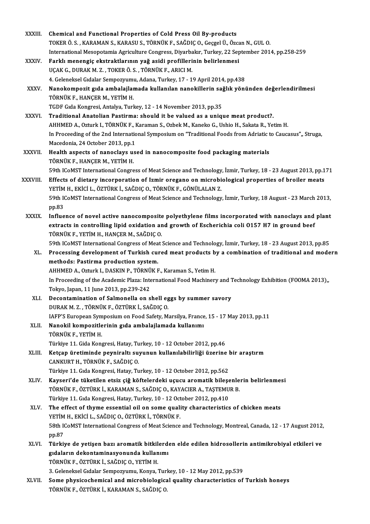| <b>XXXIII</b> | Chemical and Functional Properties of Cold Press Oil By-products                                              |
|---------------|---------------------------------------------------------------------------------------------------------------|
|               | TOKER Ö. S., KARAMAN S., KARASU S., TÖRNÜK F., SAĞDIÇ O., Geçgel Ü., Özcan N., GUL O.                         |
|               | International Mesopotamia Agriculture Congress, Diyarbakır, Turkey, 22 September 2014, pp.258-259             |
| XXXIV.        | Farklı menengiç ekstraktlarının yağ asidi profillerinin belirlenmesi                                          |
|               | UÇAK G., DURAK M. Z., TOKER Ö. S., TÖRNÜK F., ARICI M.                                                        |
|               | 4. Geleneksel Gıdalar Sempozyumu, Adana, Turkey, 17 - 19 April 2014, pp.438                                   |
| XXXV.         | Nanokompozit gıda ambalajlamada kullanılan nanokillerin sağlık yönünden değerlendirilmesi                     |
|               | TÖRNÜK F., HANÇER M., YETİM H.                                                                                |
|               | TGDF Gida Kongresi, Antalya, Turkey, 12 - 14 November 2013, pp.35                                             |
| <b>XXXVI</b>  | Traditional Anatolian Pastirma: should it be valued as a unique meat product?.                                |
|               | AHHMED A., Ozturk I., TÖRNÜK F., Karaman S., Ozbek M., Kaneko G., Ushio H., Sakata R., Yetim H.               |
|               | In Proceeding of the 2nd International Symposium on "Traditional Foods from Adriatic to Caucasus",, Struga,   |
|               | Macedonia, 24 October 2013, pp 1                                                                              |
| XXXVII.       | Health aspects of nanoclays used in nanocomposite food packaging materials                                    |
|               | TÖRNÜK F., HANÇER M., YETİM H.                                                                                |
|               | 59th ICoMST International Congress of Meat Science and Technology, İzmir, Turkey, 18 - 23 August 2013, pp.171 |
| XXXVIII.      | Effects of dietary incorporation of Izmir oregano on microbiological properties of broiler meats              |
|               | YETİM H., EKİCİ L., ÖZTÜRK İ., SAĞDIÇ O., TÖRNÜK F., GÖNÜLALAN Z.                                             |
|               | 59th ICoMST International Congress of Meat Science and Technology, İzmir, Turkey, 18 August - 23 March 2013,  |
|               | pp.83                                                                                                         |
| <b>XXXIX</b>  | Influence of novel active nanocomposite polyethylene films incorporated with nanoclays and plant              |
|               | extracts in controlling lipid oxidation and growth of Escherichia coli 0157 H7 in ground beef                 |
|               | TÖRNÜK F., YETİM H., HANÇER M., SAĞDIÇ O.                                                                     |
|               | 59th ICoMST International Congress of Meat Science and Technology, İzmir, Turkey, 18 - 23 August 2013, pp.85  |
| XL.           | Processing development of Turkish cured meat products by a combination of traditional and modern              |
|               | methods: Pastirma production system.                                                                          |
|               | AHHMED A., Ozturk I., DASKIN P., TÖRNÜK F., Karaman S., Yetim H.                                              |
|               | In Proceeding of the Academic Plaza: International Food Machinery and Technology Exhibition (FOOMA 2013),,    |
|               | Tokyo, Japan, 11 June 2013, pp 239-242                                                                        |
| XLI.          | Decontamination of Salmonella on shell eggs by summer savory                                                  |
|               | DURAK M. Z., TÖRNÜK F., ÖZTÜRK İ., SAĞDIÇ O.                                                                  |
|               | IAFP'S European Symposium on Food Safety, Marsilya, France, 15 - 17 May 2013, pp.11                           |
| XLII.         | Nanokil kompozitlerinin gıda ambalajlamada kullanımı                                                          |
|               | TÖRNÜK F., YETİM H.                                                                                           |
|               | Türkiye 11. Gida Kongresi, Hatay, Turkey, 10 - 12 October 2012, pp.46                                         |
| XLIII.        | Ketçap üretiminde peyniraltı suyunun kullanılabilirliği üzerine bir araştırm                                  |
|               | CANKURT H., TÖRNÜK F., SAĞDIÇ O.                                                                              |
|               | Türkiye 11. Gıda Kongresi, Hatay, Turkey, 10 - 12 October 2012, pp.562                                        |
| XLIV.         | Kayseri'de tüketilen etsiz çiğ köftelerdeki uçucu aromatik bileşenlerin belirlenmesi                          |
|               | TÖRNÜK F., ÖZTÜRK İ., KARAMAN S., SAĞDIÇ O., KAYACIER A., TAŞTEMUR B.                                         |
|               | Türkiye 11. Gıda Kongresi, Hatay, Turkey, 10 - 12 October 2012, pp.410                                        |
| XLV.          | The effect of thyme essential oil on some quality characteristics of chicken meats                            |
|               | YETİM H., EKİCİ L., SAĞDIÇ O., ÖZTÜRK İ., TÖRNÜK F.                                                           |
|               | 58th ICoMST International Congress of Meat Science and Technology, Montreal, Canada, 12 - 17 August 2012,     |
|               | pp 87                                                                                                         |
| XLVI.         | Türkiye de yetişen bazı aromatik bitkilerden elde edilen hidrosollerin antimikrobiyal etkileri ve             |
|               | gıdaların dekontaminasyonunda kullanımı                                                                       |
|               | TÖRNÜK F., ÖZTÜRK İ., SAĞDIÇ O., YETİM H.                                                                     |
|               | 3. Geleneksel Gıdalar Sempozyumu, Konya, Turkey, 10 - 12 May 2012, pp.539                                     |
| XLVII.        | Some physicochemical and microbiological quality characteristics of Turkish honeys                            |
|               | TÖRNÜK F., ÖZTÜRK İ., KARAMAN S., SAĞDIÇ O.                                                                   |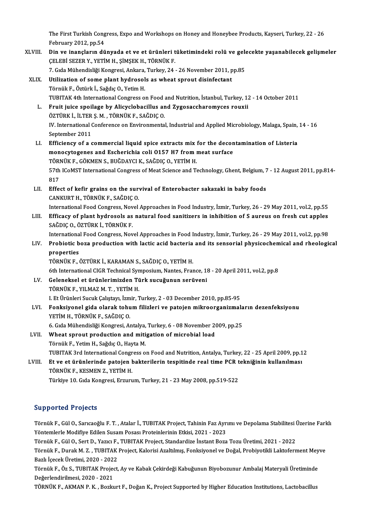The First Turkish Congress, Expo and Workshops on Honey and Honeybee Products, Kayseri, Turkey, 22 - 26<br>February 2012, pp 54 The First Turkish Cong<br>February 2012, pp.54<br>Din ve inangların dü The First Turkish Congress, Expo and Workshops on Honey and Honeybee Products, Kayseri, Turkey, 22 - 26<br>February 2012, pp.54<br>XLVIII. Din ve inançların dünyada et ve et ürünleri tüketimindeki rolü ve gelecekte yaşanabilecek

- February 2012, pp.54<br>Din ve inançların dünyada et ve et ürünleri tüketimindeki rolü ve gelecekte yaşanabilecek gelişmeler<br>ÇELEBİ SEZER Y., YETİM H., ŞİMŞEK H., TÖRNÜK F. Din ve inançların dünyada et ve et ürünleri tüketimindeki rolü ve gele<br>ÇELEBİ SEZER Y., YETİM H., ŞİMŞEK H., TÖRNÜK F.<br>7. Gıda Mühendisliği Kongresi, Ankara, Turkey, 24 - 26 November 2011, pp.85<br>Htilization of soma plant h
- XLIX. Utilization of some plant hydrosols as wheat sprout disinfectant 7. Gıda Mühendisliği Kongresi, Ankara,<br>Utilization of some plant hydrosol<br>Törnük F., Öztürk İ., Sağdıç O., Yetim H.<br>TURITAK 4th International Congress O TUBITAK 4th International Congress on Food and Nutrition, İstanbul, Turkey, 12 - 14 October 2011 Törnük F., Öztürk İ., Sağdıç O., Yetim H.<br>TUBITAK 4th International Congress on Food and Nutrition, İstanbul, Turkey, 1<br>L. Fruit juice spoilage by Alicyclobacillus and Zygosaccharomyces rouxii<br>ÖZTÜPK İ. İLTER S.M. TÖRNÜK E TUBITAK 4th International Congress on Food<br>Fruit juice spoilage by Alicyclobacillus ar<br>ÖZTÜRK İ., İLTER Ş. M. , TÖRNÜK F., SAĞDIÇ O.<br>W. International Conference on Environmenta ÖZTÜRK İ., İLTER Ş. M., TÖRNÜK F., SAĞDIÇ O.

IV. International Conference on Environmental, Industrial and Applied Microbiology, Malaga, Spain, 14 - 16<br>September 2011

- LI. Efficiency of a commercial liquid spice extractsmix for the decontamination of Listeria September 2011<br>Efficiency of a commercial liquid spice extracts mix for the decon<br>monocytogenes and Escherichia coli O157 H7 from meat surface<br>TÖRNÜK E. CÖKMEN S. RUČDAVCLK, SAČDIC O. VETİM H Efficiency of a commercial liquid spice extracts mix<br>monocytogenes and Escherichia coli 0157 H7 from 1<br>TÖRNÜK F., GÖKMEN S., BUĞDAYCI K., SAĞDIÇ O., YETİM H.<br>57th ICoMST International Congress of Meat Science and To 57th ICoMST International Congress of Meat Science and Technology, Ghent, Belgium, 7 - 12 August 2011, pp.814-<br>817 TÖRNÜK F., GÖKMEN S., BUĞDAYCI K., SAĞDIÇ O., YETİM H. 57th ICoMST International Congress of Meat Science and Technology, Ghent, Belgium, 7<br>817<br>LII. Effect of kefir grains on the survival of Enterobacter sakazaki in baby foods<br>CANKUPT H. TÖDNÜK E. SAĞDIC O
- 817<br>Effect of kefir grains on the sur<br>CANKURT H., TÖRNÜK F., SAĞDIÇ O.<br>International Food Congress Novel. Effect of kefir grains on the survival of Enterobacter sakazaki in baby foods<br>CANKURT H., TÖRNÜK F., SAĞDIÇ O.<br>International Food Congress, Novel Approaches in Food Industry, İzmir, Turkey, 26 - 29 May 2011, vol.2, pp.55<br>E
- CANKURT H., TÖRNÜK F., SAĞDIÇ O.<br>International Food Congress, Novel Approaches in Food Industry, İzmir, Turkey, 26 29 May 2011, vol.2, pp.55<br>LIII. Efficacy of plant hydrosols as natural food sanitizers in inhibition of S International Food Congress, Nov<br>Efficacy of plant hydrosols as<br>SAĞDIÇ O., ÖZTÜRK İ., TÖRNÜK F.<br>International Food Congress, Nov Efficacy of plant hydrosols as natural food sanitizers in inhibition of S aureus on fresh cut apples<br>SAĞDIÇ O., ÖZTÜRK İ., TÖRNÜK F.<br>International Food Congress, Novel Approaches in Food Industry, İzmir, Turkey, 26 - 29 Ma

SAĞDIÇ O., ÖZTÜRK İ., TÖRNÜK F.<br>International Food Congress, Novel Approaches in Food Industry, İzmir, Turkey, 26 - 29 May 2011, vol.2, pp.98<br>LIV. Probiotic boza production with lactic acid bacteria and its sensorial p Internationa<br><mark>Probiotic b</mark><br>properties<br>TÖDNÜV E Probiotic boza production with lactic acid bacteria<br>properties<br>TÖRNÜK F., ÖZTÜRK İ., KARAMAN S., SAĞDIÇ O., YETİM H.<br>6th International CICB Technical Sumnosium Nantes, Eres

properties<br>TÖRNÜK F., ÖZTÜRK İ., KARAMAN S., SAĞDIÇ O., YETİM H.<br>6th International CIGR Technical Symposium, Nantes, France, 18 - 20 April 2011, vol.2, pp.8

- LV. Geleneksel et ürünlerimizden Türk sucuğunun serüveni TÖRNÜK F., YILMAZ M. T., YETİM H. I. Et Ürünleri Sucuk Çalıştayı, İzmir, Turkey, 2 - 03 December 2010, pp.85-95
- LVI. Fonksiyonel gida olarak tohum filizleri ve patojen mikroorganizmaların dezenfeksiyonu YETİM H., TÖRNÜK F., SAĞDIÇ O. Fonksiyonel gida olarak tohum filizleri ve patojen mikroorganizmala<br>YETİM H., TÖRNÜK F., SAĞDIÇ O.<br>6. Gıda Mühendisliği Kongresi, Antalya, Turkey, 6 - 08 November 2009, pp.25<br>Wheat spreut preduction and mitisation of misre

## YETİM H., TÖRNÜK F., SAĞDIÇ O.<br>6. Gıda Mühendisliği Kongresi, Antalya, Turkey, 6 - 08 November 2<br>LVII. Wheat sprout production and mitigation of microbial load<br>Tännük E. Vetim H. Sağdıs O. Hayta M. 6. Gıda Mühendisliği Kongresi, Antalya,<br>Wheat sprout production and miti<br>Törnük F., Yetim H., Sağdıç O., Hayta M.<br>TURITAK 2xd International Congress o LVII. Wheat sprout production and mitigation of microbial load<br>Törnük F., Yetim H., Sağdıç O., Hayta M.<br>TUBITAK 3rd International Congress on Food and Nutrition, Antalya, Turkey, 22 - 25 April 2009, pp.12 Törnük F., Yetim H., Sağdıç O., Hayta M.<br>TUBITAK 3rd International Congress on Food and Nutrition, Antalya, Turkey, 22 - 25 April 2009, pp.1<br>LVIII. Et ve et ürünlerinde patojen bakterilerin tespitinde real time PCR tek

TÖRNÜK F., KESMEN Z., YETİM H.<br>Türkiye 10. Gıda Kongresi, Erzurum, Turkey, 21 - 23 May 2008, pp.519-522 Et ve et ürünlerinde patojen bakterilerin tespitinde real time PCR t<br>TÖRNÜK F., KESMEN Z., YETİM H.<br>Türkiye 10. Gıda Kongresi, Erzurum, Turkey, 21 - 23 May 2008, pp.519-522

## Supported Projects

Supported Projects<br>Törnük F., Gül O., Sarıcaoğlu F. T. , Atalar İ., TUBITAK Project, Tahinin Faz Ayrımı ve Depolama Stabilitesi Üzerine Farklı<br>Yöntemlerle Modifiye Ediler Susam Bosse: Preteinlerinin Etkişi 2021, 2022 Törnük F., Gül O., Sarıcaoğlu F. T. , Atalar İ., TUBITAK Project, Tahinin Faz Ayrımı ve Depolama Stabilitesi İ<br>Yöntemlerle Modifiye Edilen Susam Posası Proteinlerinin Etkisi, 2021 - 2023<br>Törnük F., Gül O., Sert D., Yazıcı

Yöntemlerle Modifiye Edilen Susam Posası Proteinlerinin Etkisi, 2021 - 2023<br>Törnük F., Gül O., Sert D., Yazıcı F., TUBITAK Project, Standardize İnstant Boza Tozu Üretimi, 2021 - 2022

Yöntemlerle Modifiye Edilen Susam Posası Proteinlerinin Etkisi, 2021 - 2023<br>Törnük F., Gül O., Sert D., Yazıcı F., TUBITAK Project, Standardize İnstant Boza Tozu Üretimi, 2021 - 2022<br>Törnük F., Durak M. Z. , TUBITAK Projec Törnük F., Gül O., Sert D., Yazıcı F.,<br>Törnük F., Durak M. Z. , TUBITAK<br>Bazlı İçecek Üretimi, 2020 - 2022<br>Törnük E. Öz S., TUBITAK Project Törnük F., Durak M. Z. , TUBITAK Project, Kalorisi Azaltılmış, Fonksiyonel ve Doğal, Probiyotikli Laktoferment Mey<br>Bazlı İçecek Üretimi, 2020 - 2022<br>Törnük F., Öz S., TUBITAK Project, Ay ve Kabak Çekirdeği Kabuğunun Biyobo

Bazlı İçecek Üretimi, 2020 - 202:<br>Törnük F., Öz S., TUBITAK Projec<br>Değerlendirilmesi, 2020 - 2021<br>TÖRNÜK F. AKMAN B.K., Besla Törnük F., Öz S., TUBITAK Project, Ay ve Kabak Çekirdeği Kabuğunun Biyobozunur Ambalaj Materyali Üretiminde<br>Değerlendirilmesi, 2020 - 2021<br>TÖRNÜK F., AKMAN P. K. , Bozkurt F., Doğan K., Project Supported by Higher Educatio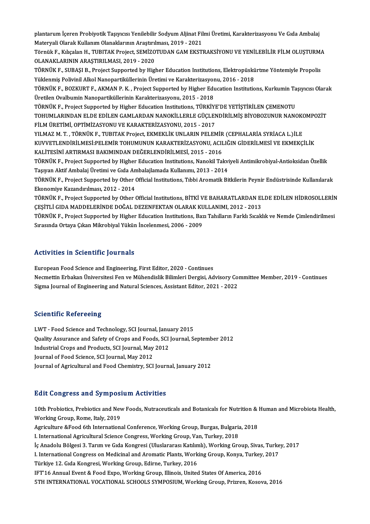plantarum İçeren Probiyotik Taşıyıcısı Yenilebilir Sodyum Aljinat Filmi Üretimi, Karakterizasyonu Ve Gıda Ambalaj<br>Materyali Olarak Kullanım Olanaklarının Arastırılması, 2019, 2021 plantarum İçeren Probiyotik Taşıyıcısı Yenilebilir Sodyum Aljinat Fil<br>Materyali Olarak Kullanım Olanaklarının Araştırılması, 2019 - 2021<br>Törnük E. Kılısalan H. TURITAK Project, SEMİZOTUDAN GAM EKSTI plantarum İçeren Probiyotik Taşıyıcısı Yenilebilir Sodyum Aljinat Filmi Üretimi, Karakterizasyonu Ve Gıda Ambalaj<br>Materyali Olarak Kullanım Olanaklarının Araştırılması, 2019 - 2021<br>Törnük F., Kılıçalan H., TUBITAK Project,

Materyali Olarak Kullanım Olanaklarının Araştırıl<br>Törnük F., Kılıçalan H., TUBITAK Project, SEMİZO<br>OLANAKLARININ ARAŞTIRILMASI, 2019 - 2020<br>TÖRNÜK E. SUBASI B. Project Supported by Hizl Törnük F., Kılıçalan H., TUBITAK Project, SEMİZOTUDAN GAM EKSTRAKSİYONU VE YENİLEBİLİR FİLM OLUŞTURMA<br>OLANAKLARININ ARAŞTIRILMASI, 2019 - 2020<br>TÖRNÜK F., SUBAŞI B., Project Supported by Higher Education Institutions, Elekt

OLANAKLARININ ARAŞTIRILMASI, 2019 - 2020<br>TÖRNÜK F., SUBAŞI B., Project Supported by Higher Education Institutions, Elektropüskürtme Yöntemiyle Propolis<br>Yüklenmiş Polivinil Alkol Nanopartiküllerinin Üretimi ve Karakterizasy TÖRNÜK F., SUBAŞI B., Project Supported by Higher Education Institutions, Elektropüskürtme Yöntemiyle Propolis<br>Yüklenmiş Polivinil Alkol Nanopartiküllerinin Üretimi ve Karakterizasyonu, 2016 - 2018<br>TÖRNÜK F., BOZKURT F., A

Yüklenmiş Polivinil Alkol Nanopartiküllerinin Üretimi ve Karakterizasyor<br>TÖRNÜK F., BOZKURT F., AKMAN P. K. , Project Supported by Higher Edu<br>Üretilen Ovalbumin Nanopartiküllerinin Karakterizasyonu, 2015 - 2018<br>TÖRNÜK E. P TÖRNÜK F., BOZKURT F., AKMAN P. K. , Project Supported by Higher Education Institutions, Kurkumin Ta<br>Üretilen Ovalbumin Nanopartiküllerinin Karakterizasyonu, 2015 - 2018<br>TÖRNÜK F., Project Supported by Higher Education Ins

Üretilen Ovalbumin Nanopartiküllerinin Karakterizasyonu, 2015 - 2018<br>TÖRNÜK F., Project Supported by Higher Education Institutions, TÜRKİYE'DE YETİŞTİRİLEN ÇEMENOTU<br>TOHUMLARINDAN ELDE EDİLEN GAMLARDAN NANOKİLLERLE GÜÇLENDİ TÖRNÜK F., Project Supported by Higher Education Institutions, TÜRKİYE'DE YETİŞTİRİLEN ÇEMENOTU<br>TOHUMLARINDAN ELDE EDİLEN GAMLARDAN NANOKİLLERLE GÜÇLENDİRİLMİŞ BİYOBOZUNUR NAN<br>FİLM ÜRETİMİ, OPTİMİZASYONU VE KARAKTERİZASYON TOHUMLARINDAN ELDE EDİLEN GAMLARDAN NANOKİLLERLE GÜÇLENDİRİLMİŞ BİYOBOZUNUR NANOKO<br>FİLM ÜRETİMİ, OPTİMİZASYONU VE KARAKTERİZASYONU, 2015 - 2017<br>YILMAZ M. T. , TÖRNÜK F., TUBITAK Project, EKMEKLİK UNLARIN PELEMİR (CEPHALARİ

FİLM ÜRETİMİ, OPTİMİZASYONU VE KARAKTERİZASYONU, 2015 - 2017<br>YILMAZ M. T. , TÖRNÜK F., TUBITAK Project, EKMEKLİK UNLARIN PELEMİR (CEPHALARİA SYRİACA L.)İLE<br>KUVVETLENDİRİLMESİ:PELEMİR TOHUMUNUN KARAKTERİZASYONU, ACILIĞIN Gİ YILMAZ M. T. , TÖRNÜK F., TUBITAK Project, EKMEKLİK UNLARIN PELEMİR<br>KUVVETLENDİRİLMESİ:PELEMİR TOHUMUNUN KARAKTERİZASYONU, ACII<br>KALİTESİNİ ARTIRMASI BAKIMINDAN DEĞERLENDİRİLMESİ, 2015 - 2016<br>TÖRNÜK E. Project Sunnerted bu KUVVETLENDİRİLMESİ:PELEMİR TOHUMUNUN KARAKTERİZASYONU, ACILIĞIN GİDERİLMESİ VE EKMEKÇİLİK<br>KALİTESİNİ ARTIRMASI BAKIMINDAN DEĞERLENDİRİLMESİ, 2015 - 2016<br>TÖRNÜK F., Project Supported by Higher Education Institutions, Nanoki

KALİTESİNİ ARTIRMASI BAKIMINDAN DEĞERLENDİRİLMESİ, 2015 - 2016<br>TÖRNÜK F., Project Supported by Higher Education Institutions, Nanokil Takvi<br>Taşıyan Aktif Ambalaj Üretimi ve Gıda Ambalajlamada Kullanımı, 2013 - 2014<br>TÖRNÜK TÖRNÜK F., Project Supported by Higher Education Institutions, Nanokil Takviyeli Antimikrobiyal-Antioksidan Özellik<br>Taşıyan Aktif Ambalaj Üretimi ve Gıda Ambalajlamada Kullanımı, 2013 - 2014<br>TÖRNÜK F., Project Supported by

Taşıyan Aktif Ambalaj Üretimi ve Gıda Ambalajlamada Kullanımı, 2013 - 2014<br>TÖRNÜK F., Project Supported by Other Official Institutions, Tıbbi Aromatik Bitkilerin Peynir Endüstrisinde Kullanılarak<br>Ekonomiye Kazandırılması, TÖRNÜK F., Project Supported by Other Official Institutions, Tıbbi Aromatik Bitkilerin Peynir Endüstrisinde Kullanılarak<br>Ekonomiye Kazandırılması, 2012 - 2014<br>TÖRNÜK F., Project Supported by Other Official Institutions, Bİ

Ekonomiye Kazandırılması, 2012 - 2014<br>TÖRNÜK F., Project Supported by Other Official Institutions, BİTKİ VE BAHARATLARDAN EI<br>ÇEŞİTLİ GIDA MADDELERİNDE DOĞAL DEZENFEKTAN OLARAK KULLANIMI, 2012 - 2013<br>TÖRNÜK E. Project Suppo TÖRNÜK F., Project Supported by Other Official Institutions, BİTKİ VE BAHARATLARDAN ELDE EDİLEN HİDROSOLLERİN<br>ÇEŞİTLİ GIDA MADDELERİNDE DOĞAL DEZENFEKTAN OLARAK KULLANIMI, 2012 - 2013<br>TÖRNÜK F., Project Supported by Higher

ÇEŞİTLİ GIDA MADDELERİNDE DOĞAL DEZENFEKTAN OLARAK KU<br>TÖRNÜK F., Project Supported by Higher Education Institutions, Baz<br>Sırasında Ortaya Çıkan Mikrobiyal Yükün İncelenmesi, 2006 - 2009 Sırasında Ortaya Çıkan Mikrobiyal Yükün İncelenmesi, 2006 - 2009<br>Activities in Scientific Journals

European Food Science and Engineering, First Editor, 2020 - Continues

Necmettin Erbakan Üniversitesi Fen ve Mühendislik Bilimleri Dergisi, Advisory Committee Member, 2019 - Continues Sigma Journal of Engineering and Natural Sciences, Assistant Editor, 2021 - 2022

## **Scientific Refereeing**

Scientific Refereeing<br>LWT - Food Science and Technology, SCI Journal, January 2015<br>Quality Assurance and Sefety of Crops and Foods, SCI Journal, S. Quality Assurance and Safety of Crops and Foods, SCI Journal, September 2012<br>Industrial Crops and Products, SCI Journal, May 2012 LWT - Food Science and Technology, SCI Journal, Janu<br>Quality Assurance and Safety of Crops and Foods, SCI<br>Industrial Crops and Products, SCI Journal, May 2012<br>Journal of Eood Science, SCI Journal, May 2012 Journal of Food Science, SCI Journal, May 2012 Journal of Agricultural and Food Chemistry, SCI Journal, January 2012

## **Edit Congress and Symposium Activities**

10th Probiotics, Prebiotics and New Foods, Nutraceuticals and Botanicals for Nutrition & Human and Microbiota Health, Working Group, Rome, Italy, 2019 10th Probiotics, Prebiotics and New Foods, Nutraceuticals and Botanicals for Nutrition &<br>Working Group, Rome, Italy, 2019<br>Agriculture &Food 6th International Conference, Working Group, Burgas, Bulgaria, 2018<br>Linternational Working Group, Rome, Italy, 2019<br>Agriculture &Food 6th International Conference, Working Group, Burgas, Bulgaria<br>I. International Agricultural Science Congress, Working Group, Van, Turkey, 2018<br>Is Anadelu Bëlgesi 3, Terum Agriculture &Food 6th International Conference, Working Group, Burgas, Bulgaria, 2018<br>I. International Agricultural Science Congress, Working Group, Van, Turkey, 2018<br>İç Anadolu Bölgesi 3. Tarım ve Gıda Kongresi (Uluslarar I. International Agricultural Science Congress, Working Group, Van, Turkey, 2018<br>İç Anadolu Bölgesi 3. Tarım ve Gıda Kongresi (Uluslararası Katılımlı), Working Group, Sivas, Turke<br>I. International Congress on Medicinal and İç Anadolu Bölgesi 3. Tarım ve Gıda Kongresi (Uluslararası Katılın<br>I. International Congress on Medicinal and Aromatic Plants, Work<br>Türkiye 12. Gıda Kongresi, Working Group, Edirne, Turkey, 2016<br>IET'16 Annual Event & Eood I. International Congress on Medicinal and Aromatic Plants, Working Group, Konya, Turkey,<br>Türkiye 12. Gıda Kongresi, Working Group, Edirne, Turkey, 2016<br>IFT'16 Annual Event & Food Expo, Working Group, Illinois, United Stat Türkiye 12. Gıda Kongresi, Working Group, Edirne, Turkey, 2016<br>IFT'16 Annual Event & Food Expo, Working Group, Illinois, United States Of America, 2016<br>5TH INTERNATIONAL VOCATIONAL SCHOOLS SYMPOSIUM, Working Group, Prizren